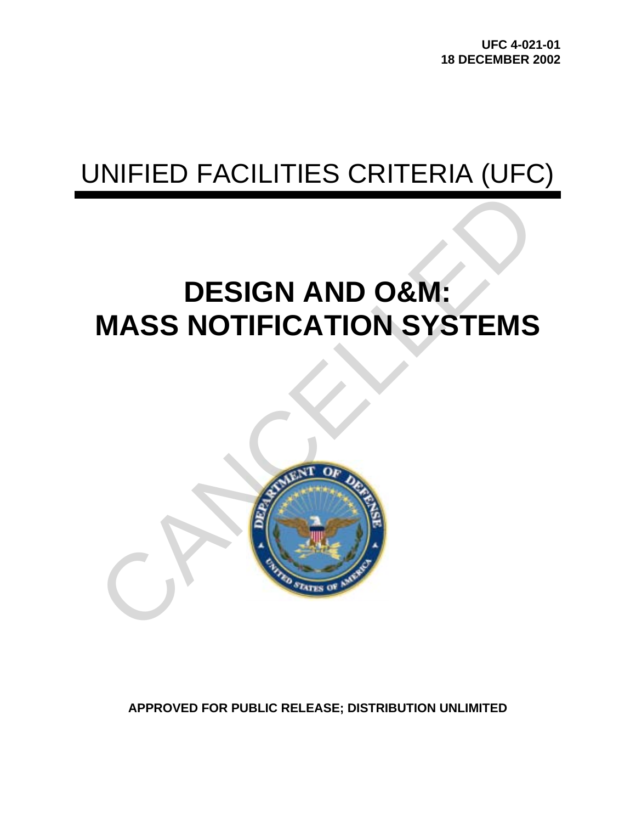**UFC 4-021-01 18 DECEMBER 2002** 

# UNIFIED FACILITIES CRITERIA (UFC)

# **DESIGN AND O&M: MASS NOTIFICATION SYSTEMS**



**APPROVED FOR PUBLIC RELEASE; DISTRIBUTION UNLIMITED**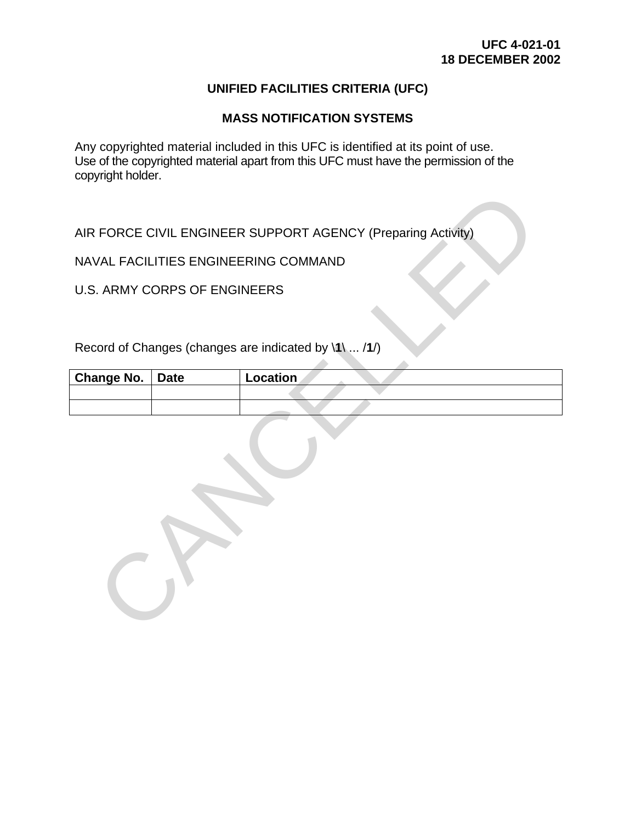# **UNIFIED FACILITIES CRITERIA (UFC)**

## **MASS NOTIFICATION SYSTEMS**

Any copyrighted material included in this UFC is identified at its point of use. Use of the copyrighted material apart from this UFC must have the permission of the copyright holder.

AIR FORCE CIVIL ENGINEER SUPPORT AGENCY (Preparing Activity)

NAVAL FACILITIES ENGINEERING COMMAND

U.S. ARMY CORPS OF ENGINEERS

Record of Changes (changes are indicated by \**1**\ ... /**1**/)

| Change No.   Date | <b>Location</b> |
|-------------------|-----------------|
|                   |                 |
|                   |                 |

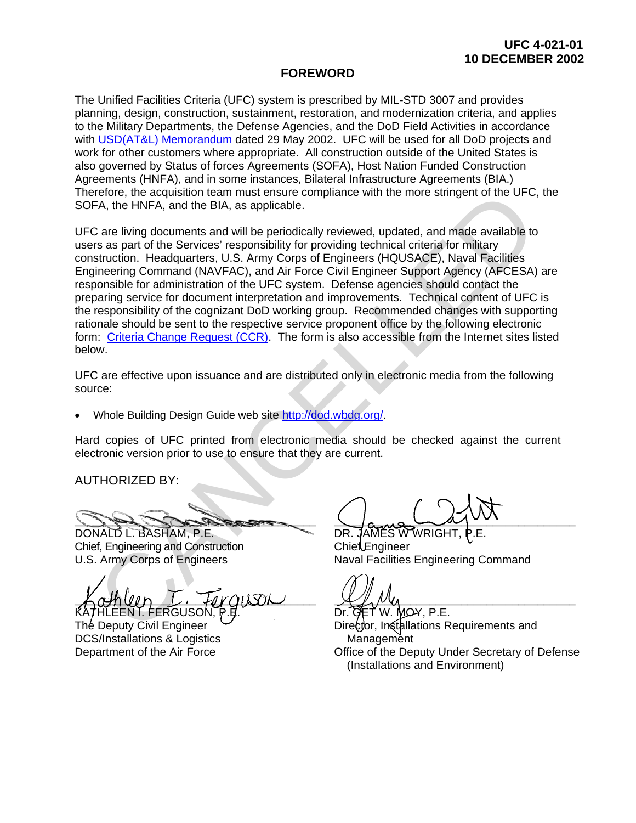#### **FOREWORD**

The Unified Facilities Criteria (UFC) system is prescribed by MIL-STD 3007 and provides planning, design, construction, sustainment, restoration, and modernization criteria, and applies to the Military Departments, the Defense Agencies, and the DoD Field Activities in accordance with [USD\(AT&L\) Memorandum](http://www.wbdg.org/pdfs/ufc_implementation.pdf) dated 29 May 2002. UFC will be used for all DoD projects and work for other customers where appropriate. All construction outside of the United States is also governed by Status of forces Agreements (SOFA), Host Nation Funded Construction Agreements (HNFA), and in some instances, Bilateral Infrastructure Agreements (BIA.) Therefore, the acquisition team must ensure compliance with the more stringent of the UFC, the SOFA, the HNFA, and the BIA, as applicable.

UFC are living documents and will be periodically reviewed, updated, and made available to users as part of the Services' responsibility for providing technical criteria for military construction. Headquarters, U.S. Army Corps of Engineers (HQUSACE), Naval Facilities Engineering Command (NAVFAC), and Air Force Civil Engineer Support Agency (AFCESA) are responsible for administration of the UFC system. Defense agencies should contact the preparing service for document interpretation and improvements. Technical content of UFC is the responsibility of the cognizant DoD working group. Recommended changes with supporting rationale should be sent to the respective service proponent office by the following electronic form: Criteria Change Request (CCR). The form is also accessible from the Internet sites listed below. refore, the acquisition team must ensure compliance with the more stringent of the UFC,<br>
FA, the INNFA, and the BIA, as applicable,<br>
2 are living documents and will be periodically reviewed, updated, and made available to<br>

UFC are effective upon issuance and are distributed only in electronic media from the following source:

• Whole Building Design Guide web site http://dod.wbdg.org/.

Hard copies of UFC printed from electronic media should be checked against the current electronic version prior to use to ensure that they are current.

AUTHORIZED BY:

 $\mathcal{L}_{\mathcal{L}}$ 

DONALD L. BASHAM, P.E. Chief, Engineering and Construction U.S. Army Corps of Engineers

 $L_0$  to the process to the control  $L_1$ HLEEN I. FERGUSON.

The Deputy Civil Engineer DCS/Installations & Logistics Department of the Air Force

 $\bigcup_{\alpha,\alpha}$   $\bigcup_{\alpha\beta}$ 

DR. JAMES W WRIGHT ChiefEngineer Naval Facilities Engineering Command

 $\chi$   $\chi$   $\mu$   $\mu$ 

TW. MOY, P.E. Director, Installations Requirements and Management Office of the Deputy Under Secretary of Defense (Installations and Environment)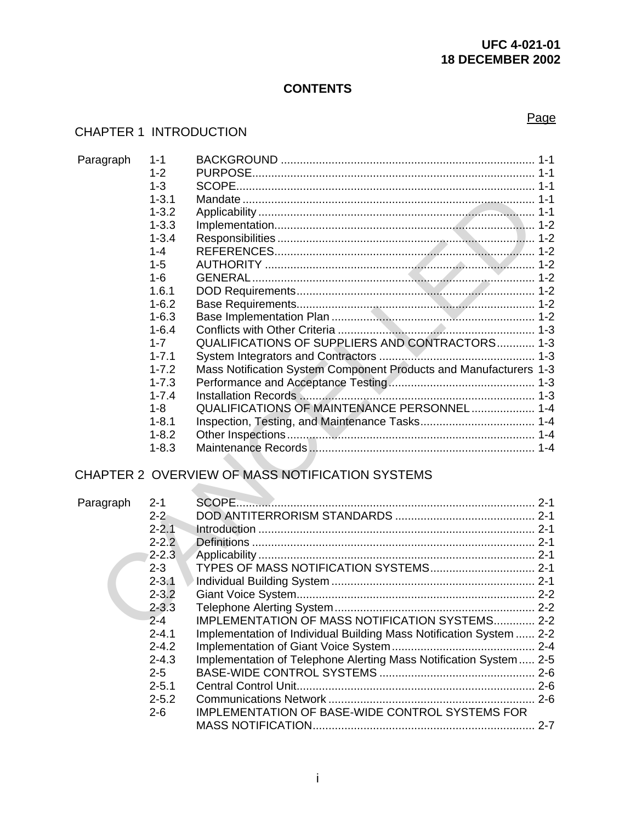# **UFC 4-021-01 18 DECEMBER 2002**

# **CONTENTS**

# CHAPTER 1 INTRODUCTION

| Paragraph | $1 - 1$   |                                                                    |  |
|-----------|-----------|--------------------------------------------------------------------|--|
|           | $1 - 2$   |                                                                    |  |
|           | $1 - 3$   |                                                                    |  |
|           | $1 - 3.1$ |                                                                    |  |
|           | $1 - 3.2$ |                                                                    |  |
|           | $1 - 3.3$ |                                                                    |  |
|           | $1 - 3.4$ |                                                                    |  |
|           | $1 - 4$   |                                                                    |  |
|           | $1 - 5$   |                                                                    |  |
|           | $1 - 6$   |                                                                    |  |
|           | 1.6.1     |                                                                    |  |
|           | $1 - 6.2$ |                                                                    |  |
|           | $1 - 6.3$ |                                                                    |  |
|           | $1 - 6.4$ |                                                                    |  |
|           | $1 - 7$   | QUALIFICATIONS OF SUPPLIERS AND CONTRACTORS 1-3                    |  |
|           | $1 - 7.1$ |                                                                    |  |
|           | $1 - 7.2$ | Mass Notification System Component Products and Manufacturers 1-3  |  |
|           | $1 - 7.3$ |                                                                    |  |
|           | $1 - 7.4$ |                                                                    |  |
|           | $1 - 8$   | QUALIFICATIONS OF MAINTENANCE PERSONNEL 1-4                        |  |
|           | $1 - 8.1$ |                                                                    |  |
|           | $1 - 8.2$ |                                                                    |  |
|           | $1 - 8.3$ |                                                                    |  |
|           |           |                                                                    |  |
|           |           | CHAPTER 2 OVERVIEW OF MASS NOTIFICATION SYSTEMS                    |  |
| Paragraph | $2 - 1$   |                                                                    |  |
|           | $2 - 2$   |                                                                    |  |
|           | $2 - 2.1$ |                                                                    |  |
|           | $2 - 2.2$ |                                                                    |  |
|           | $2 - 2.3$ |                                                                    |  |
|           | $2 - 3$   | TYPES OF MASS NOTIFICATION SYSTEMS 2-1                             |  |
|           | $2 - 3.1$ |                                                                    |  |
|           | $2 - 3.2$ |                                                                    |  |
|           | $2 - 3.3$ |                                                                    |  |
|           | $2 - 4$   | IMPLEMENTATION OF MASS NOTIFICATION SYSTEMS 2-2                    |  |
|           | 0.11      | Implementation of Individual Puilding Mass Natification System 2.3 |  |

# CHAPTER 2 OVERVIEW OF MASS NOTIFICATION SYSTEMS

| Paragraph | $2 - 1$   |                                                                     |         |
|-----------|-----------|---------------------------------------------------------------------|---------|
|           | $2 - 2$   |                                                                     |         |
|           | $2 - 2.1$ |                                                                     |         |
|           | $2 - 2.2$ |                                                                     |         |
|           | $2 - 2.3$ |                                                                     |         |
|           | $2 - 3$   |                                                                     |         |
|           | $2 - 3.1$ |                                                                     |         |
|           | $2 - 3.2$ |                                                                     |         |
|           | $2 - 3.3$ |                                                                     |         |
|           | $2 - 4$   | <b>IMPLEMENTATION OF MASS NOTIFICATION SYSTEMS 2-2</b>              |         |
|           | $2 - 4.1$ | Implementation of Individual Building Mass Notification System  2-2 |         |
|           | $2 - 4.2$ |                                                                     |         |
|           | $2 - 4.3$ | Implementation of Telephone Alerting Mass Notification System 2-5   |         |
|           | $2 - 5$   |                                                                     |         |
|           | $2 - 5.1$ |                                                                     |         |
|           | $2 - 5.2$ |                                                                     |         |
|           | $2 - 6$   | <b>IMPLEMENTATION OF BASE-WIDE CONTROL SYSTEMS FOR</b>              |         |
|           |           |                                                                     | $2 - 7$ |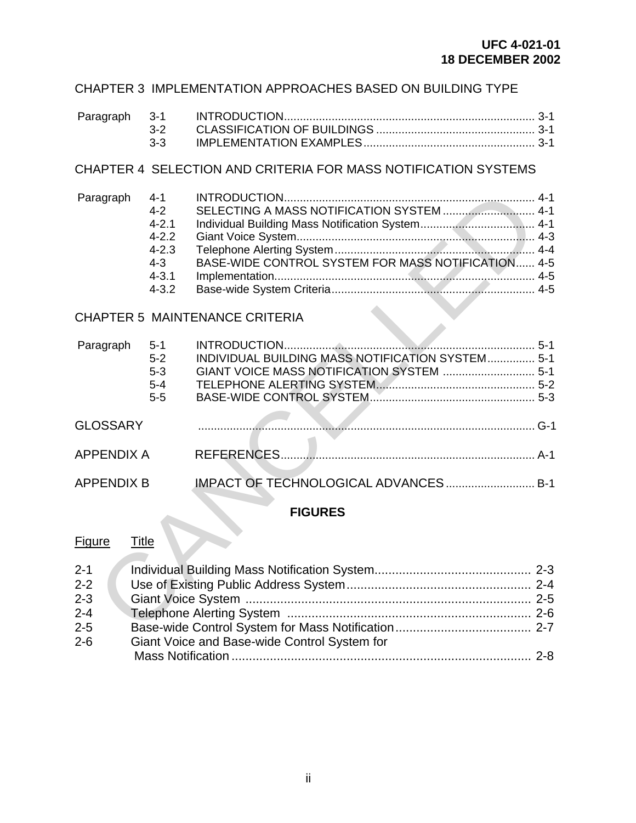# CHAPTER 3 IMPLEMENTATION APPROACHES BASED ON BUILDING TYPE

## CHAPTER 4 SELECTION AND CRITERIA FOR MASS NOTIFICATION SYSTEMS

| Paragraph 4-1 |           |                                                    |  |
|---------------|-----------|----------------------------------------------------|--|
|               | $4 - 2$   |                                                    |  |
|               | $4 - 2.1$ |                                                    |  |
|               | $4 - 2.2$ |                                                    |  |
|               | $4 - 2.3$ |                                                    |  |
|               | $4 - 3$   | BASE-WIDE CONTROL SYSTEM FOR MASS NOTIFICATION 4-5 |  |
|               | $4 - 3.1$ |                                                    |  |
|               | $4 - 3.2$ |                                                    |  |

# CHAPTER 5 MAINTENANCE CRITERIA

| Paragraph                                           | $4 - 1$<br>$4 - 2$<br>$4 - 2.1$<br>$4 - 2.2$<br>$4 - 2.3$<br>$4 - 3$<br>$4 - 3.1$<br>$4 - 3.2$ | BASE-WIDE CONTROL SYSTEM FOR MASS NOTIFICATION 4-5 |  |
|-----------------------------------------------------|------------------------------------------------------------------------------------------------|----------------------------------------------------|--|
|                                                     |                                                                                                | <b>CHAPTER 5 MAINTENANCE CRITERIA</b>              |  |
| Paragraph                                           | $5 - 1$<br>$5-2$<br>$5 - 3$<br>$5-4$<br>$5-5$                                                  | INDIVIDUAL BUILDING MASS NOTIFICATION SYSTEM 5-1   |  |
| <b>GLOSSARY</b>                                     |                                                                                                |                                                    |  |
| <b>APPENDIX A</b>                                   |                                                                                                |                                                    |  |
| <b>APPENDIX B</b>                                   |                                                                                                | IMPACT OF TECHNOLOGICAL ADVANCES B-1               |  |
|                                                     |                                                                                                | <b>FIGURES</b>                                     |  |
| Figure<br><b>Title</b>                              |                                                                                                |                                                    |  |
| $2 - 1$<br>$2 - 2$<br>$2 - 3$<br>$2 - 4$<br>$2 - 5$ |                                                                                                |                                                    |  |

# **FIGURES**

#### Figure Title

| $2 - 1$ |                                              |  |
|---------|----------------------------------------------|--|
| $2 - 2$ |                                              |  |
| $2 - 3$ |                                              |  |
| $2 - 4$ |                                              |  |
| $2 - 5$ |                                              |  |
| $2 - 6$ | Giant Voice and Base-wide Control System for |  |
|         |                                              |  |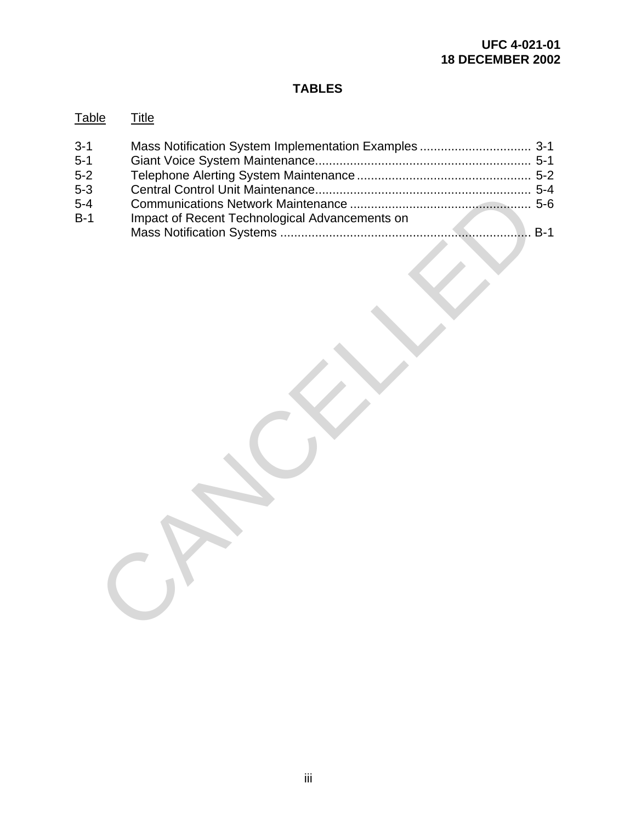# **TABLES**

| <b>Table</b>                                               | <u>Title</u>                                            |
|------------------------------------------------------------|---------------------------------------------------------|
| $3 - 1$<br>$5 - 1$<br>$5 - 2$<br>$5 - 3$<br>$5-4$<br>$B-1$ | Impact of Recent Technological Advancements on<br>$B-1$ |
|                                                            |                                                         |
|                                                            |                                                         |
|                                                            |                                                         |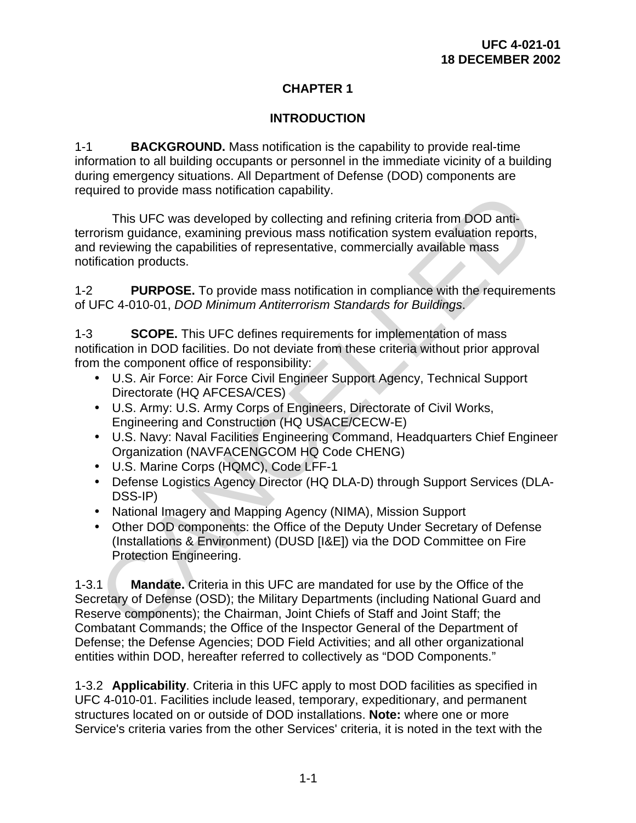# **CHAPTER 1**

# **INTRODUCTION**

1-1 **BACKGROUND.** Mass notification is the capability to provide real-time information to all building occupants or personnel in the immediate vicinity of a building during emergency situations. All Department of Defense (DOD) components are required to provide mass notification capability.

This UFC was developed by collecting and refining criteria from DOD antiterrorism guidance, examining previous mass notification system evaluation reports, and reviewing the capabilities of representative, commercially available mass notification products. Ured to provide mass notincation capability.<br>
This UFC was developed by collecting and refining criteria from DOD anti-<br>
This UFC was developed by collecting and refining criteria from DOD anti-<br>
Ireviewing the capabilitie

1-2 **PURPOSE.** To provide mass notification in compliance with the requirements of UFC 4-010-01, *DOD Minimum Antiterrorism Standards for Buildings*.

1-3 **SCOPE.** This UFC defines requirements for implementation of mass notification in DOD facilities. Do not deviate from these criteria without prior approval from the component office of responsibility:

- U.S. Air Force: Air Force Civil Engineer Support Agency, Technical Support Directorate (HQ AFCESA/CES)
- U.S. Army: U.S. Army Corps of Engineers, Directorate of Civil Works, Engineering and Construction (HQ USACE/CECW-E)
- U.S. Navy: Naval Facilities Engineering Command, Headquarters Chief Engineer Organization (NAVFACENGCOM HQ Code CHENG)
- U.S. Marine Corps (HQMC), Code LFF-1
- Defense Logistics Agency Director (HQ DLA-D) through Support Services (DLA-DSS-IP)
- National Imagery and Mapping Agency (NIMA), Mission Support
- Other DOD components: the Office of the Deputy Under Secretary of Defense (Installations & Environment) (DUSD [I&E]) via the DOD Committee on Fire Protection Engineering.

1-3.1 **Mandate.** Criteria in this UFC are mandated for use by the Office of the Secretary of Defense (OSD); the Military Departments (including National Guard and Reserve components); the Chairman, Joint Chiefs of Staff and Joint Staff; the Combatant Commands; the Office of the Inspector General of the Department of Defense; the Defense Agencies; DOD Field Activities; and all other organizational entities within DOD, hereafter referred to collectively as "DOD Components."

1-3.2 **Applicability**. Criteria in this UFC apply to most DOD facilities as specified in UFC 4-010-01. Facilities include leased, temporary, expeditionary, and permanent structures located on or outside of DOD installations. **Note:** where one or more Service's criteria varies from the other Services' criteria, it is noted in the text with the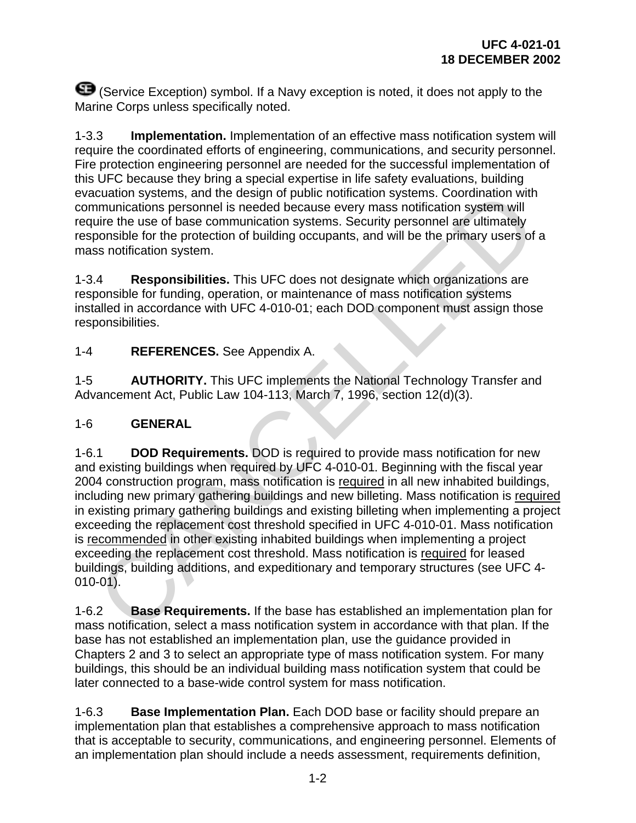(Service Exception) symbol. If a Navy exception is noted, it does not apply to the Marine Corps unless specifically noted.

1-3.3 **Implementation.** Implementation of an effective mass notification system will require the coordinated efforts of engineering, communications, and security personnel. Fire protection engineering personnel are needed for the successful implementation of this UFC because they bring a special expertise in life safety evaluations, building evacuation systems, and the design of public notification systems. Coordination with communications personnel is needed because every mass notification system will require the use of base communication systems. Security personnel are ultimately responsible for the protection of building occupants, and will be the primary users of a mass notification system.

1-3.4 **Responsibilities.** This UFC does not designate which organizations are responsible for funding, operation, or maintenance of mass notification systems installed in accordance with UFC 4-010-01; each DOD component must assign those responsibilities.

1-4 **REFERENCES.** See Appendix A.

1-5 **AUTHORITY.** This UFC implements the National Technology Transfer and Advancement Act, Public Law 104-113, March 7, 1996, section 12(d)(3).

# 1-6 **GENERAL**

1-6.1 **DOD Requirements.** DOD is required to provide mass notification for new and existing buildings when required by UFC 4-010-01*.* Beginning with the fiscal year 2004 construction program, mass notification is required in all new inhabited buildings, including new primary gathering buildings and new billeting. Mass notification is required in existing primary gathering buildings and existing billeting when implementing a project exceeding the replacement cost threshold specified in UFC 4-010-01. Mass notification is recommended in other existing inhabited buildings when implementing a project exceeding the replacement cost threshold. Mass notification is required for leased buildings, building additions, and expeditionary and temporary structures (see UFC 4- 010-01). culation systems, and the design of public notification systems. Coordination systems<br>trunculations personnel is needed because every mass notification system will<br>uire the use of base communication systems. Security perso

1-6.2 **Base Requirements.** If the base has established an implementation plan for mass notification, select a mass notification system in accordance with that plan. If the base has not established an implementation plan, use the guidance provided in Chapters 2 and 3 to select an appropriate type of mass notification system. For many buildings, this should be an individual building mass notification system that could be later connected to a base-wide control system for mass notification.

1-6.3 **Base Implementation Plan.** Each DOD base or facility should prepare an implementation plan that establishes a comprehensive approach to mass notification that is acceptable to security, communications, and engineering personnel. Elements of an implementation plan should include a needs assessment, requirements definition,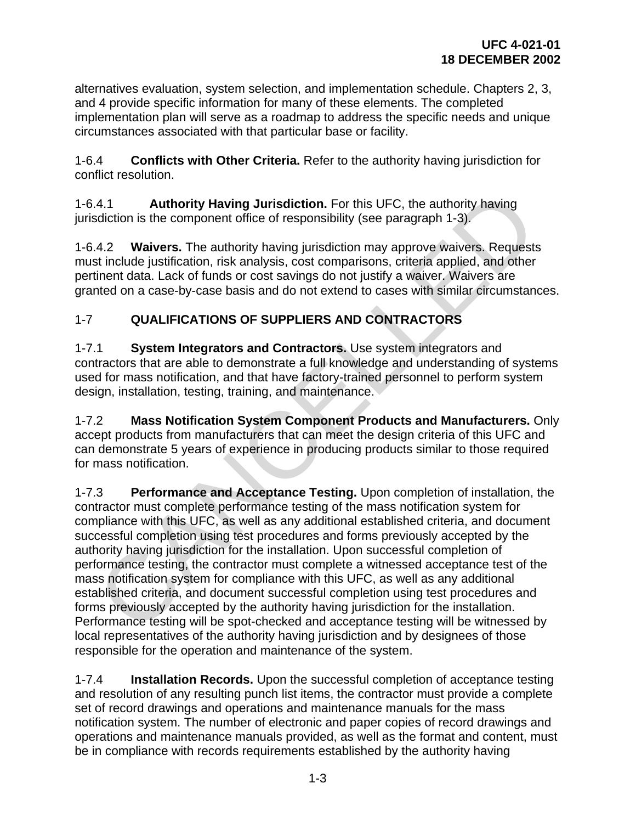alternatives evaluation, system selection, and implementation schedule. Chapters 2, 3, and 4 provide specific information for many of these elements. The completed implementation plan will serve as a roadmap to address the specific needs and unique circumstances associated with that particular base or facility.

1-6.4 **Conflicts with Other Criteria.** Refer to the authority having jurisdiction for conflict resolution.

1-6.4.1 **Authority Having Jurisdiction.** For this UFC, the authority having jurisdiction is the component office of responsibility (see paragraph 1-3).

1-6.4.2 **Waivers.** The authority having jurisdiction may approve waivers. Requests must include justification, risk analysis, cost comparisons, criteria applied, and other pertinent data. Lack of funds or cost savings do not justify a waiver. Waivers are granted on a case-by-case basis and do not extend to cases with similar circumstances.

# 1-7 **QUALIFICATIONS OF SUPPLIERS AND CONTRACTORS**

1-7.1 **System Integrators and Contractors.** Use system integrators and contractors that are able to demonstrate a full knowledge and understanding of systems used for mass notification, and that have factory-trained personnel to perform system design, installation, testing, training, and maintenance.

1-7.2 **Mass Notification System Component Products and Manufacturers.** Only accept products from manufacturers that can meet the design criteria of this UFC and can demonstrate 5 years of experience in producing products similar to those required for mass notification.

1-7.3 **Performance and Acceptance Testing.** Upon completion of installation, the contractor must complete performance testing of the mass notification system for compliance with this UFC, as well as any additional established criteria, and document successful completion using test procedures and forms previously accepted by the authority having jurisdiction for the installation. Upon successful completion of performance testing, the contractor must complete a witnessed acceptance test of the mass notification system for compliance with this UFC, as well as any additional established criteria, and document successful completion using test procedures and forms previously accepted by the authority having jurisdiction for the installation. Performance testing will be spot-checked and acceptance testing will be witnessed by local representatives of the authority having jurisdiction and by designees of those responsible for the operation and maintenance of the system. A.1 **Authority Having Jurisdiction**. For this UFC, the authority having<br>didicion is the component office of responsibility (see paragraph 1-3).<br>4.2 **Waivers**. The authority having jurisdiction may approve waivers. Requests

1-7.4 **Installation Records.** Upon the successful completion of acceptance testing and resolution of any resulting punch list items, the contractor must provide a complete set of record drawings and operations and maintenance manuals for the mass notification system. The number of electronic and paper copies of record drawings and operations and maintenance manuals provided, as well as the format and content, must be in compliance with records requirements established by the authority having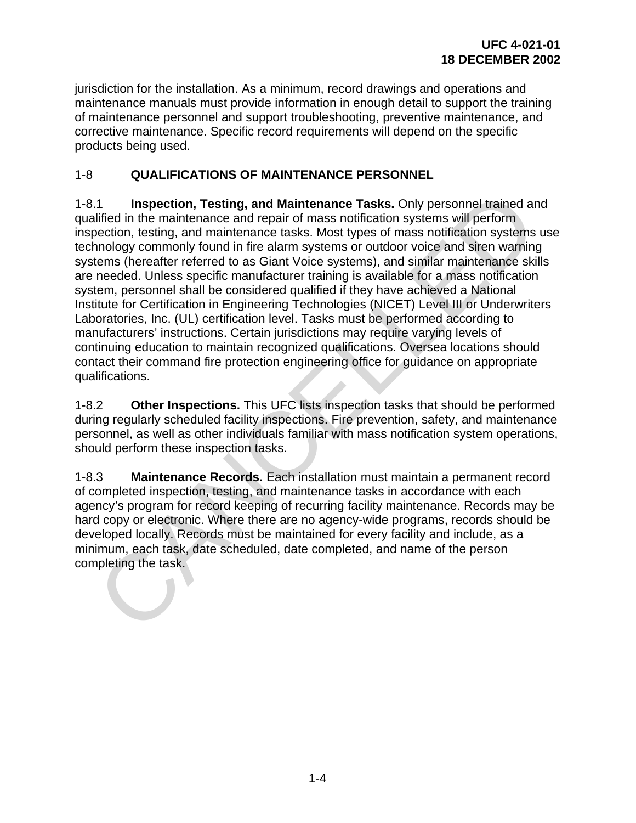jurisdiction for the installation. As a minimum, record drawings and operations and maintenance manuals must provide information in enough detail to support the training of maintenance personnel and support troubleshooting, preventive maintenance, and corrective maintenance. Specific record requirements will depend on the specific products being used.

# 1-8 **QUALIFICATIONS OF MAINTENANCE PERSONNEL**

1-8.1 **Inspection, Testing, and Maintenance Tasks.** Only personnel trained and qualified in the maintenance and repair of mass notification systems will perform inspection, testing, and maintenance tasks. Most types of mass notification systems use technology commonly found in fire alarm systems or outdoor voice and siren warning systems (hereafter referred to as Giant Voice systems), and similar maintenance skills are needed. Unless specific manufacturer training is available for a mass notification system, personnel shall be considered qualified if they have achieved a National Institute for Certification in Engineering Technologies (NICET) Level III or Underwriters Laboratories, Inc. (UL) certification level. Tasks must be performed according to manufacturers' instructions. Certain jurisdictions may require varying levels of continuing education to maintain recognized qualifications. Oversea locations should contact their command fire protection engineering office for guidance on appropriate qualifications. 1.1 Inspection, Testing, and Maintenance Tasks. Only personnel trained artifical in the maintenance and repair of mass notification systems will perform<br>election, testing, and maintenance tasks. Most types of mass notifica

1-8.2 **Other Inspections.** This UFC lists inspection tasks that should be performed during regularly scheduled facility inspections. Fire prevention, safety, and maintenance personnel, as well as other individuals familiar with mass notification system operations, should perform these inspection tasks.

1-8.3 **Maintenance Records.** Each installation must maintain a permanent record of completed inspection, testing, and maintenance tasks in accordance with each agency's program for record keeping of recurring facility maintenance. Records may be hard copy or electronic. Where there are no agency-wide programs, records should be developed locally. Records must be maintained for every facility and include, as a minimum, each task, date scheduled, date completed, and name of the person completing the task.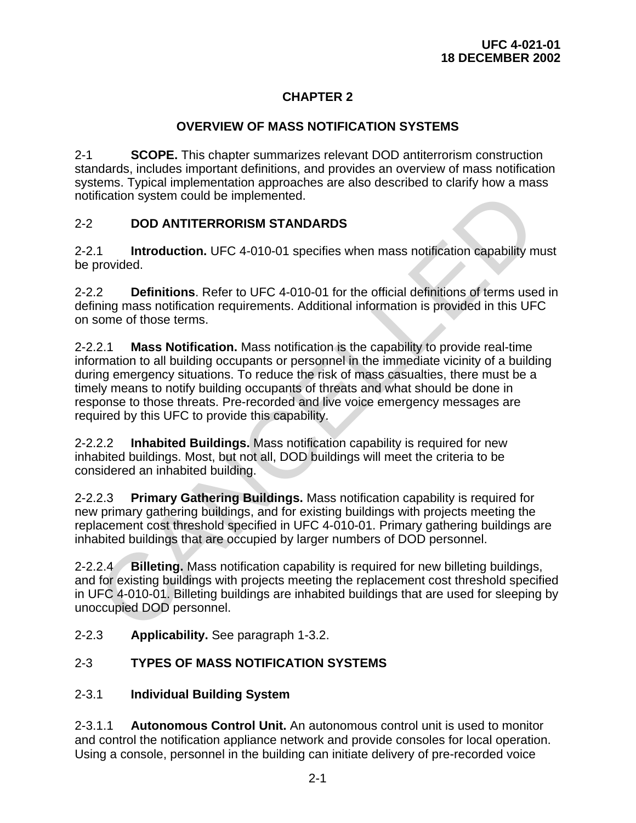# **CHAPTER 2**

# **OVERVIEW OF MASS NOTIFICATION SYSTEMS**

2-1 **SCOPE.** This chapter summarizes relevant DOD antiterrorism construction standards, includes important definitions, and provides an overview of mass notification systems. Typical implementation approaches are also described to clarify how a mass notification system could be implemented.

# 2-2 **DOD ANTITERRORISM STANDARDS**

2-2.1 **Introduction.** UFC 4-010-01 specifies when mass notification capability must be provided.

2-2.2 **Definitions**. Refer to UFC 4-010-01 for the official definitions of terms used in defining mass notification requirements. Additional information is provided in this UFC on some of those terms.

2-2.2.1 **Mass Notification.** Mass notification is the capability to provide real-time information to all building occupants or personnel in the immediate vicinity of a building during emergency situations. To reduce the risk of mass casualties, there must be a timely means to notify building occupants of threats and what should be done in response to those threats. Pre-recorded and live voice emergency messages are required by this UFC to provide this capability. ification system could be implemented.<br>
DOD ANTITERRORISM STANDARDS<br>
1 Introduction. UFC 4-010-01 specifies when mass notification capability m<br>
provided.<br>
2.2 Definitions. Refer to UFC 4-010-01 for the official definition

2-2.2.2 **Inhabited Buildings.** Mass notification capability is required for new inhabited buildings. Most, but not all, DOD buildings will meet the criteria to be considered an inhabited building.

2-2.2.3 **Primary Gathering Buildings.** Mass notification capability is required for new primary gathering buildings, and for existing buildings with projects meeting the replacement cost threshold specified in UFC 4-010-01. Primary gathering buildings are inhabited buildings that are occupied by larger numbers of DOD personnel.

2-2.2.4 **Billeting.** Mass notification capability is required for new billeting buildings, and for existing buildings with projects meeting the replacement cost threshold specified in UFC 4-010-01. Billeting buildings are inhabited buildings that are used for sleeping by unoccupied DOD personnel.

2-2.3 **Applicability.** See paragraph 1-3.2.

# 2-3 **TYPES OF MASS NOTIFICATION SYSTEMS**

# 2-3.1 **Individual Building System**

2-3.1.1 **Autonomous Control Unit.** An autonomous control unit is used to monitor and control the notification appliance network and provide consoles for local operation. Using a console, personnel in the building can initiate delivery of pre-recorded voice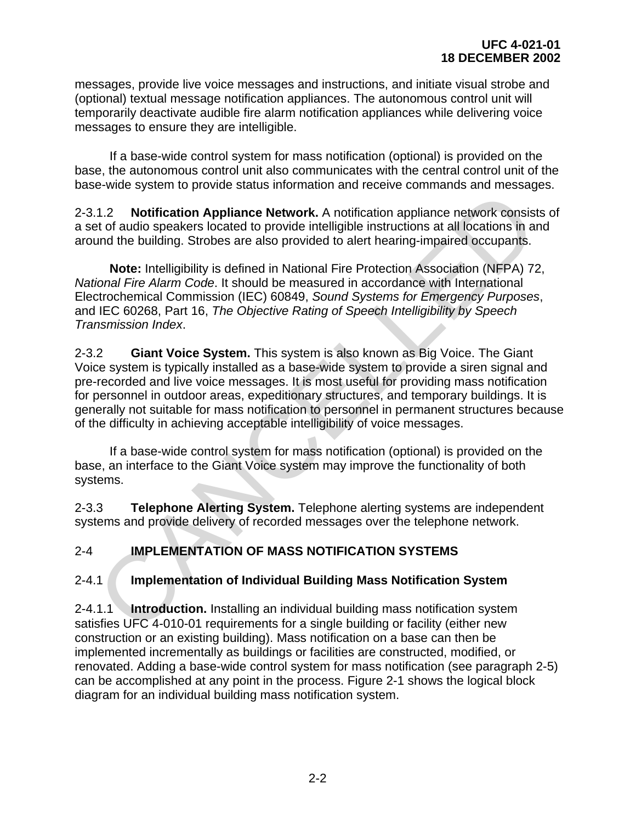messages, provide live voice messages and instructions, and initiate visual strobe and (optional) textual message notification appliances. The autonomous control unit will temporarily deactivate audible fire alarm notification appliances while delivering voice messages to ensure they are intelligible.

 If a base-wide control system for mass notification (optional) is provided on the base, the autonomous control unit also communicates with the central control unit of the base-wide system to provide status information and receive commands and messages.

2-3.1.2 **Notification Appliance Network.** A notification appliance network consists of a set of audio speakers located to provide intelligible instructions at all locations in and around the building. Strobes are also provided to alert hearing-impaired occupants.

 **Note:** Intelligibility is defined in National Fire Protection Association (NFPA) 72, *National Fire Alarm Code*. It should be measured in accordance with International Electrochemical Commission (IEC) 60849, *Sound Systems for Emergency Purposes*, and IEC 60268, Part 16, *The Objective Rating of Speech Intelligibility by Speech Transmission Index*.

2-3.2 **Giant Voice System.** This system is also known as Big Voice. The Giant Voice system is typically installed as a base-wide system to provide a siren signal and pre-recorded and live voice messages. It is most useful for providing mass notification for personnel in outdoor areas, expeditionary structures, and temporary buildings. It is generally not suitable for mass notification to personnel in permanent structures because of the difficulty in achieving acceptable intelligibility of voice messages. 1.2 **Notification Appliance Network.** A notification appliance network consisted to datio speakers located to provide intelligible instructions at all locations in and the building. Strobes are also provide intelligible in

 If a base-wide control system for mass notification (optional) is provided on the base, an interface to the Giant Voice system may improve the functionality of both systems.

2-3.3 **Telephone Alerting System.** Telephone alerting systems are independent systems and provide delivery of recorded messages over the telephone network.

# 2-4 **IMPLEMENTATION OF MASS NOTIFICATION SYSTEMS**

# 2-4.1 **Implementation of Individual Building Mass Notification System**

2-4.1.1 **Introduction.** Installing an individual building mass notification system satisfies UFC 4-010-01 requirements for a single building or facility (either new construction or an existing building). Mass notification on a base can then be implemented incrementally as buildings or facilities are constructed, modified, or renovated. Adding a base-wide control system for mass notification (see paragraph 2-5) can be accomplished at any point in the process. Figure 2-1 shows the logical block diagram for an individual building mass notification system.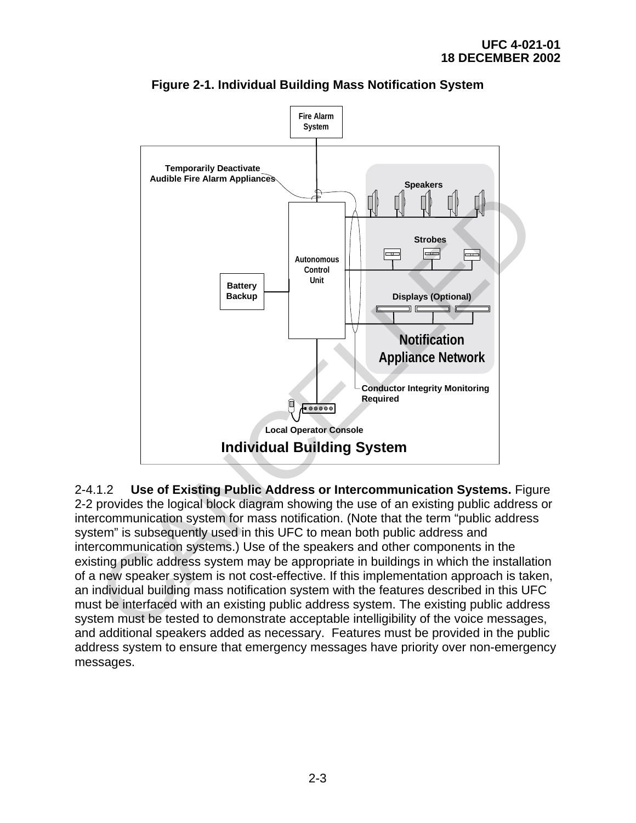

**Figure 2-1. Individual Building Mass Notification System** 

2-4.1.2 **Use of Existing Public Address or Intercommunication Systems.** Figure 2-2 provides the logical block diagram showing the use of an existing public address or intercommunication system for mass notification. (Note that the term "public address system" is subsequently used in this UFC to mean both public address and intercommunication systems.) Use of the speakers and other components in the existing public address system may be appropriate in buildings in which the installation of a new speaker system is not cost-effective. If this implementation approach is taken, an individual building mass notification system with the features described in this UFC must be interfaced with an existing public address system. The existing public address system must be tested to demonstrate acceptable intelligibility of the voice messages, and additional speakers added as necessary. Features must be provided in the public address system to ensure that emergency messages have priority over non-emergency messages.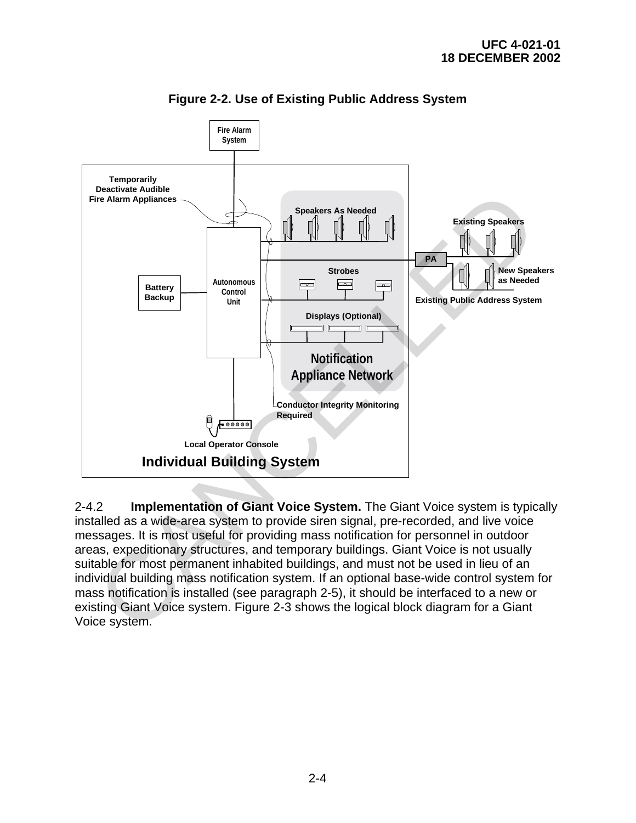

**Figure 2-2. Use of Existing Public Address System** 

2-4.2 **Implementation of Giant Voice System.** The Giant Voice system is typically installed as a wide-area system to provide siren signal, pre-recorded, and live voice messages. It is most useful for providing mass notification for personnel in outdoor areas, expeditionary structures, and temporary buildings. Giant Voice is not usually suitable for most permanent inhabited buildings, and must not be used in lieu of an individual building mass notification system. If an optional base-wide control system for mass notification is installed (see paragraph 2-5), it should be interfaced to a new or existing Giant Voice system. Figure 2-3 shows the logical block diagram for a Giant Voice system.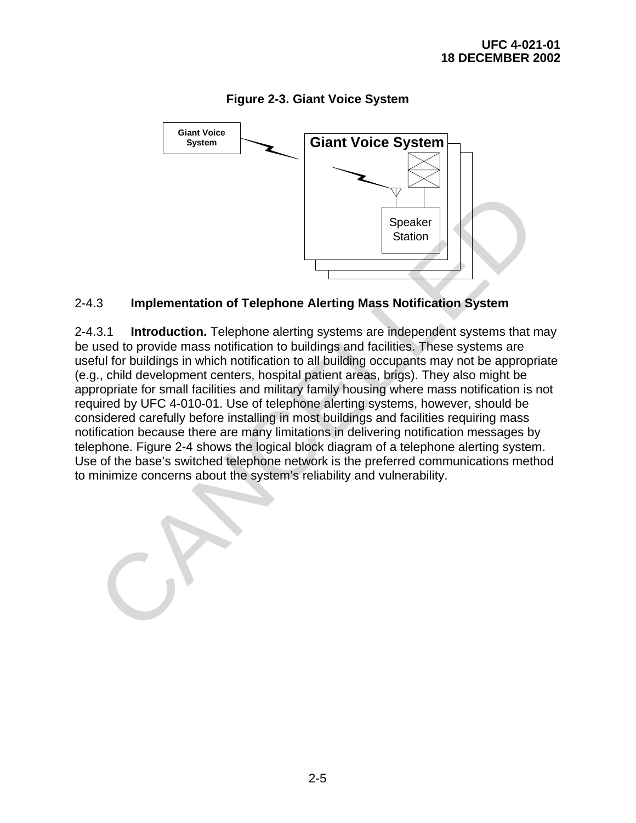

# **Figure 2-3. Giant Voice System**

#### 2-4.3 **Implementation of Telephone Alerting Mass Notification System**

2-4.3.1 **Introduction.** Telephone alerting systems are independent systems that may be used to provide mass notification to buildings and facilities. These systems are useful for buildings in which notification to all building occupants may not be appropriate (e.g., child development centers, hospital patient areas, brigs). They also might be appropriate for small facilities and military family housing where mass notification is not required by UFC 4-010-01. Use of telephone alerting systems, however, should be considered carefully before installing in most buildings and facilities requiring mass notification because there are many limitations in delivering notification messages by telephone. Figure 2-4 shows the logical block diagram of a telephone alerting system. Use of the base's switched telephone network is the preferred communications method to minimize concerns about the system's reliability and vulnerability. Speaker<br>
Station<br>
Speaker<br>
Station<br>
Station<br>
Station<br>
Station<br>
Station<br>
Station<br>
Station<br>
Station<br>
Station<br>
Station<br>
Station<br>
Station<br>
Station<br>
Station<br>
Station<br>
Station<br>
Station<br>
Station<br>
Station<br>
Station<br>
Station<br>
State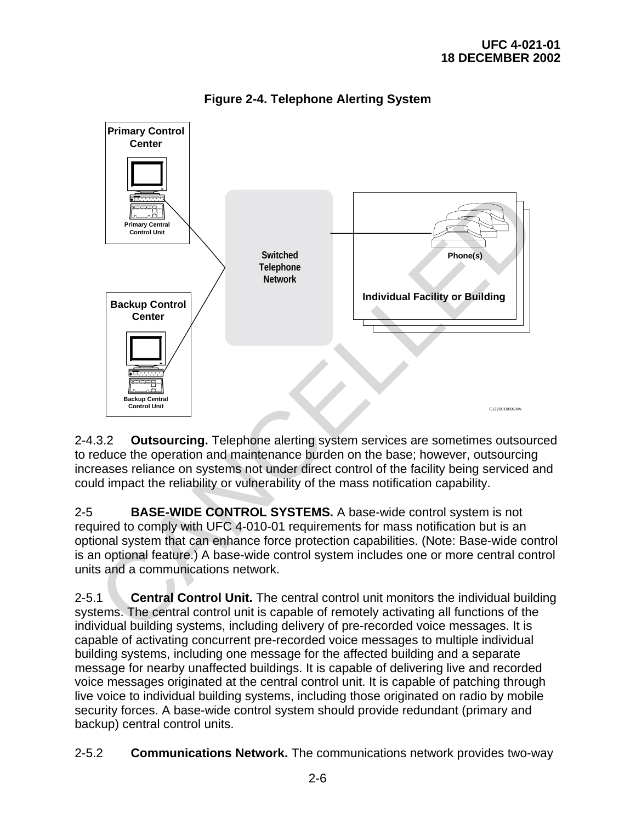

**Figure 2-4. Telephone Alerting System** 

2-4.3.2 **Outsourcing.** Telephone alerting system services are sometimes outsourced to reduce the operation and maintenance burden on the base; however, outsourcing increases reliance on systems not under direct control of the facility being serviced and could impact the reliability or vulnerability of the mass notification capability.

2-5 **BASE-WIDE CONTROL SYSTEMS.** A base-wide control system is not required to comply with UFC 4-010-01 requirements for mass notification but is an optional system that can enhance force protection capabilities. (Note: Base-wide control is an optional feature.) A base-wide control system includes one or more central control units and a communications network.

2-5.1 **Central Control Unit.** The central control unit monitors the individual building systems. The central control unit is capable of remotely activating all functions of the individual building systems, including delivery of pre-recorded voice messages. It is capable of activating concurrent pre-recorded voice messages to multiple individual building systems, including one message for the affected building and a separate message for nearby unaffected buildings. It is capable of delivering live and recorded voice messages originated at the central control unit. It is capable of patching through live voice to individual building systems, including those originated on radio by mobile security forces. A base-wide control system should provide redundant (primary and backup) central control units.

2-5.2 **Communications Network.** The communications network provides two-way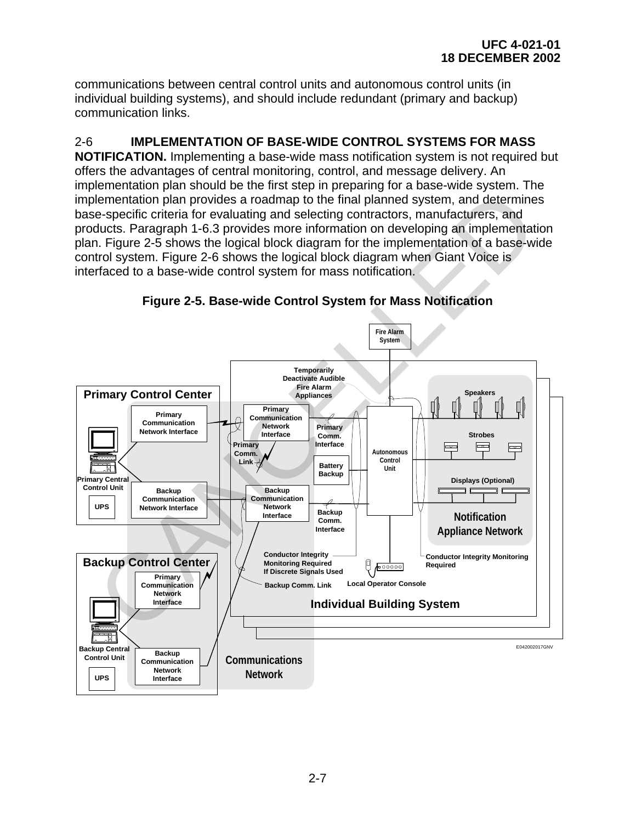communications between central control units and autonomous control units (in individual building systems), and should include redundant (primary and backup) communication links.

# 2-6 **IMPLEMENTATION OF BASE-WIDE CONTROL SYSTEMS FOR MASS**

**NOTIFICATION.** Implementing a base-wide mass notification system is not required but offers the advantages of central monitoring, control, and message delivery. An implementation plan should be the first step in preparing for a base-wide system. The implementation plan provides a roadmap to the final planned system, and determines base-specific criteria for evaluating and selecting contractors, manufacturers, and products. Paragraph 1-6.3 provides more information on developing an implementation plan. Figure 2-5 shows the logical block diagram for the implementation of a base-wide control system. Figure 2-6 shows the logical block diagram when Giant Voice is interfaced to a base-wide control system for mass notification.



**Figure 2-5. Base-wide Control System for Mass Notification**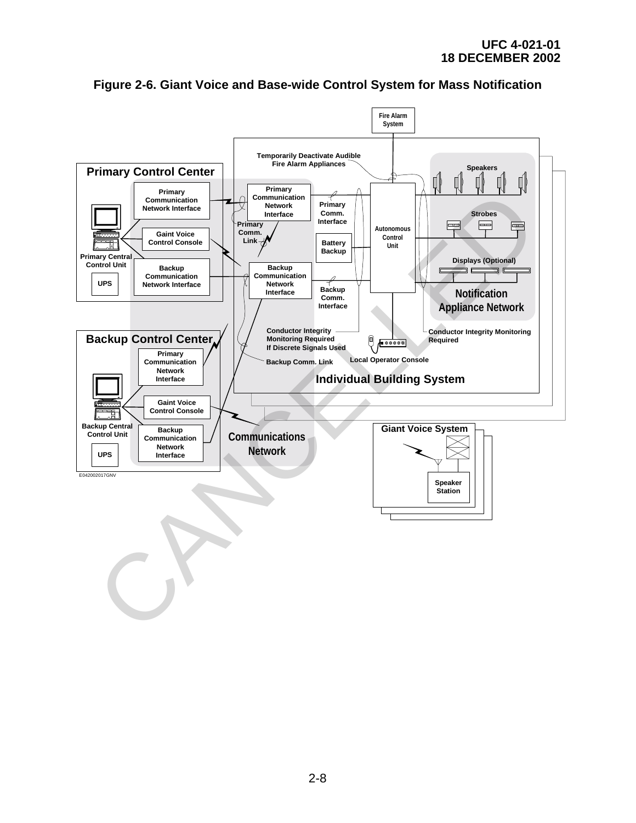

**Figure 2-6. Giant Voice and Base-wide Control System for Mass Notification**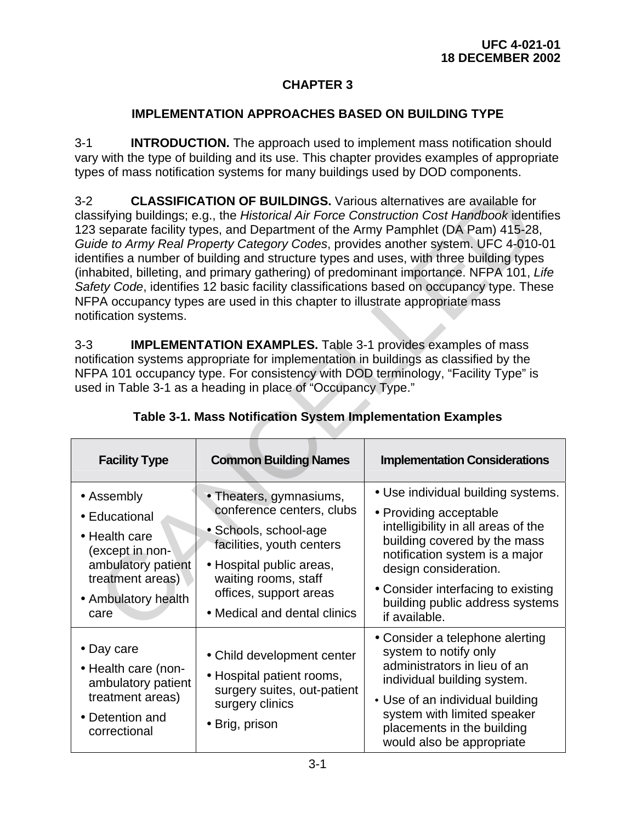# **CHAPTER 3**

# **IMPLEMENTATION APPROACHES BASED ON BUILDING TYPE**

3-1 **INTRODUCTION.** The approach used to implement mass notification should vary with the type of building and its use. This chapter provides examples of appropriate types of mass notification systems for many buildings used by DOD components.

| <b>CLASSIFICATION OF BUILDINGS.</b> Various alternatives are available for<br>$3 - 2$<br>classifying buildings; e.g., the Historical Air Force Construction Cost Handbook identifies<br>123 separate facility types, and Department of the Army Pamphlet (DA Pam) 415-28,<br>Guide to Army Real Property Category Codes, provides another system. UFC 4-010-01<br>identifies a number of building and structure types and uses, with three building types<br>(inhabited, billeting, and primary gathering) of predominant importance. NFPA 101, Life<br>Safety Code, identifies 12 basic facility classifications based on occupancy type. These<br>NFPA occupancy types are used in this chapter to illustrate appropriate mass<br>notification systems. |                                                                                                                                                                                                                          |                                                                                                                                                                                                                                                                                          |  |  |
|-----------------------------------------------------------------------------------------------------------------------------------------------------------------------------------------------------------------------------------------------------------------------------------------------------------------------------------------------------------------------------------------------------------------------------------------------------------------------------------------------------------------------------------------------------------------------------------------------------------------------------------------------------------------------------------------------------------------------------------------------------------|--------------------------------------------------------------------------------------------------------------------------------------------------------------------------------------------------------------------------|------------------------------------------------------------------------------------------------------------------------------------------------------------------------------------------------------------------------------------------------------------------------------------------|--|--|
| $3 - 3$<br><b>IMPLEMENTATION EXAMPLES.</b> Table 3-1 provides examples of mass<br>notification systems appropriate for implementation in buildings as classified by the<br>NFPA 101 occupancy type. For consistency with DOD terminology, "Facility Type" is<br>used in Table 3-1 as a heading in place of "Occupancy Type."<br>Table 3-1. Mass Notification System Implementation Examples                                                                                                                                                                                                                                                                                                                                                               |                                                                                                                                                                                                                          |                                                                                                                                                                                                                                                                                          |  |  |
| <b>Facility Type</b>                                                                                                                                                                                                                                                                                                                                                                                                                                                                                                                                                                                                                                                                                                                                      | <b>Common Building Names</b>                                                                                                                                                                                             | <b>Implementation Considerations</b>                                                                                                                                                                                                                                                     |  |  |
| • Assembly<br>• Educational<br>• Health care<br>(except in non-<br>ambulatory patient<br>treatment areas)<br>• Ambulatory health<br>care                                                                                                                                                                                                                                                                                                                                                                                                                                                                                                                                                                                                                  | • Theaters, gymnasiums,<br>conference centers, clubs<br>• Schools, school-age<br>facilities, youth centers<br>• Hospital public areas,<br>waiting rooms, staff<br>offices, support areas<br>• Medical and dental clinics | • Use individual building systems.<br>• Providing acceptable<br>intelligibility in all areas of the<br>building covered by the mass<br>notification system is a major<br>design consideration.<br>• Consider interfacing to existing<br>building public address systems<br>if available. |  |  |
| • Day care<br>• Health care (non-<br>ambulatory patient<br>treatment areas)<br>• Detention and<br>correctional                                                                                                                                                                                                                                                                                                                                                                                                                                                                                                                                                                                                                                            | • Child development center<br>• Hospital patient rooms,<br>surgery suites, out-patient<br>surgery clinics<br>• Brig, prison                                                                                              | • Consider a telephone alerting<br>system to notify only<br>administrators in lieu of an<br>individual building system.<br>• Use of an individual building<br>system with limited speaker<br>placements in the building                                                                  |  |  |

|  |  | Table 3-1. Mass Notification System Implementation Examples |
|--|--|-------------------------------------------------------------|
|  |  |                                                             |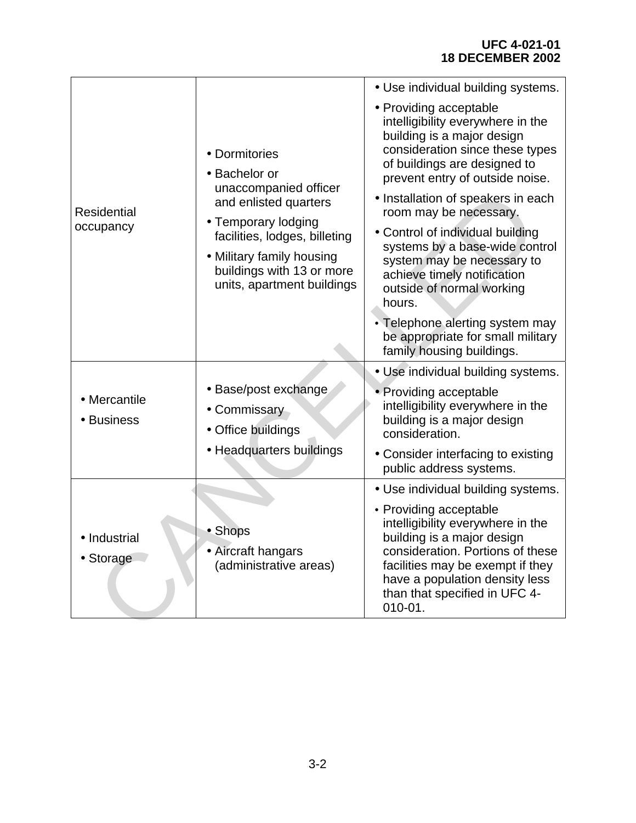## **UFC 4-021-01 18 DECEMBER 2002**

|                            |                                                                                                                                              | • Use individual building systems.                                                                                                                                                                                                                  |
|----------------------------|----------------------------------------------------------------------------------------------------------------------------------------------|-----------------------------------------------------------------------------------------------------------------------------------------------------------------------------------------------------------------------------------------------------|
|                            | • Dormitories<br>• Bachelor or                                                                                                               | • Providing acceptable<br>intelligibility everywhere in the<br>building is a major design<br>consideration since these types<br>of buildings are designed to<br>prevent entry of outside noise.                                                     |
| <b>Residential</b>         | unaccompanied officer<br>and enlisted quarters                                                                                               | • Installation of speakers in each<br>room may be necessary.                                                                                                                                                                                        |
| occupancy                  | • Temporary lodging<br>facilities, lodges, billeting<br>• Military family housing<br>buildings with 13 or more<br>units, apartment buildings | • Control of individual building<br>systems by a base-wide control<br>system may be necessary to<br>achieve timely notification<br>outside of normal working<br>hours.                                                                              |
|                            |                                                                                                                                              | • Telephone alerting system may<br>be appropriate for small military<br>family housing buildings.                                                                                                                                                   |
|                            |                                                                                                                                              | • Use individual building systems.                                                                                                                                                                                                                  |
| • Mercantile<br>• Business | • Base/post exchange<br>• Commissary<br>• Office buildings                                                                                   | • Providing acceptable<br>intelligibility everywhere in the<br>building is a major design<br>consideration.                                                                                                                                         |
|                            | • Headquarters buildings                                                                                                                     | • Consider interfacing to existing<br>public address systems.                                                                                                                                                                                       |
|                            |                                                                                                                                              | • Use individual building systems.                                                                                                                                                                                                                  |
| • Industrial<br>• Storage  | • Shops<br>• Aircraft hangars<br>(administrative areas)                                                                                      | • Providing acceptable<br>intelligibility everywhere in the<br>building is a major design<br>consideration. Portions of these<br>facilities may be exempt if they<br>have a population density less<br>than that specified in UFC 4-<br>$010 - 01.$ |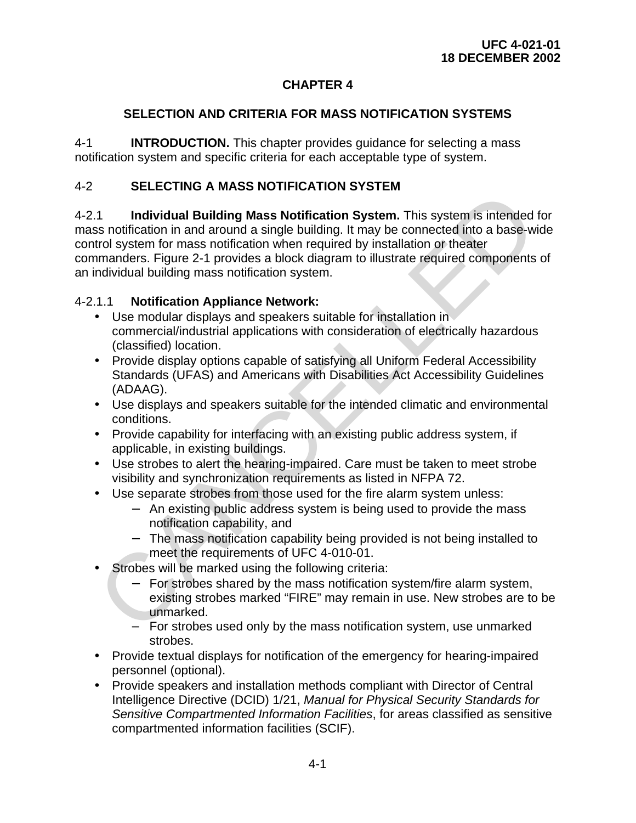# **CHAPTER 4**

# **SELECTION AND CRITERIA FOR MASS NOTIFICATION SYSTEMS**

4-1 **INTRODUCTION.** This chapter provides guidance for selecting a mass notification system and specific criteria for each acceptable type of system.

# 4-2 **SELECTING A MASS NOTIFICATION SYSTEM**

4-2.1 **Individual Building Mass Notification System.** This system is intended for mass notification in and around a single building. It may be connected into a base-wide control system for mass notification when required by installation or theater commanders. Figure 2-1 provides a block diagram to illustrate required components of an individual building mass notification system. 1.1 Initial Building Mass Notification System. This system is intended<br>
1.1 Initial Building I Mass Notification in and around a single building. It may be connected into a base-wit<br>
that is rigure 2-1 provides a block dia

# 4-2.1.1 **Notification Appliance Network:**

- Use modular displays and speakers suitable for installation in commercial/industrial applications with consideration of electrically hazardous (classified) location.
- Provide display options capable of satisfying all Uniform Federal Accessibility Standards (UFAS) and Americans with Disabilities Act Accessibility Guidelines (ADAAG).
- Use displays and speakers suitable for the intended climatic and environmental conditions.
- Provide capability for interfacing with an existing public address system, if applicable, in existing buildings.
- Use strobes to alert the hearing-impaired. Care must be taken to meet strobe visibility and synchronization requirements as listed in NFPA 72.
- Use separate strobes from those used for the fire alarm system unless:
	- − An existing public address system is being used to provide the mass notification capability, and
	- − The mass notification capability being provided is not being installed to meet the requirements of UFC 4-010-01.
- Strobes will be marked using the following criteria:
	- − For strobes shared by the mass notification system/fire alarm system, existing strobes marked "FIRE" may remain in use. New strobes are to be unmarked.
	- For strobes used only by the mass notification system, use unmarked strobes.
- Provide textual displays for notification of the emergency for hearing-impaired personnel (optional).
- Provide speakers and installation methods compliant with Director of Central Intelligence Directive (DCID) 1/21, *Manual for Physical Security Standards for Sensitive Compartmented Information Facilities*, for areas classified as sensitive compartmented information facilities (SCIF).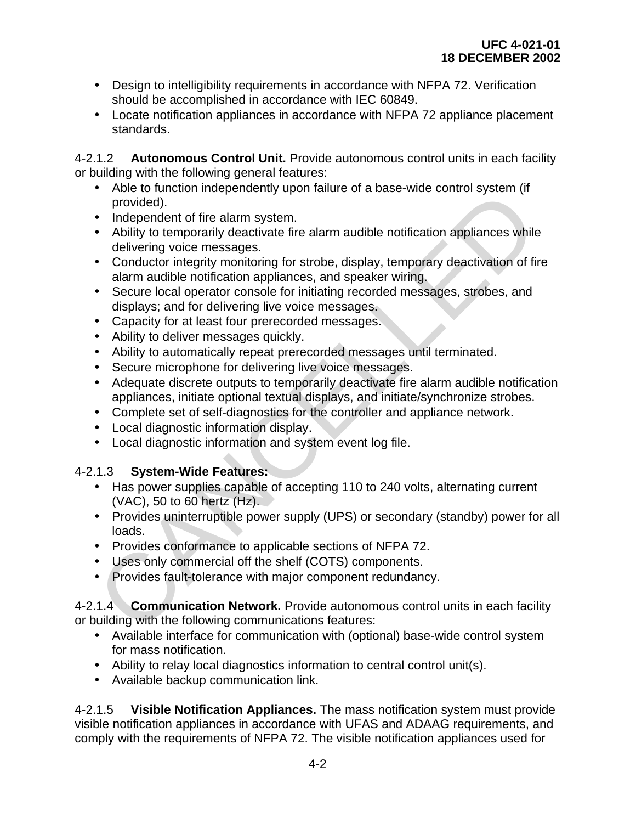- Design to intelligibility requirements in accordance with NFPA 72. Verification should be accomplished in accordance with IEC 60849.
- Locate notification appliances in accordance with NFPA 72 appliance placement standards.

4-2.1.2 **Autonomous Control Unit.** Provide autonomous control units in each facility or building with the following general features:

- Able to function independently upon failure of a base-wide control system (if provided).
- Independent of fire alarm system.
- Ability to temporarily deactivate fire alarm audible notification appliances while delivering voice messages. Provided).<br>
• Independent of fire alarm system in provided).<br>
• Independent of fire alarm and the net are madible notification appliances while<br>
be the interval delivering vector messages.<br>
• Conductor intergity monotorin
- Conductor integrity monitoring for strobe, display, temporary deactivation of fire alarm audible notification appliances, and speaker wiring.
- Secure local operator console for initiating recorded messages, strobes, and displays; and for delivering live voice messages.
- Capacity for at least four prerecorded messages.
- Ability to deliver messages quickly.
- Ability to automatically repeat prerecorded messages until terminated.
- Secure microphone for delivering live voice messages.
- Adequate discrete outputs to temporarily deactivate fire alarm audible notification appliances, initiate optional textual displays, and initiate/synchronize strobes.
- Complete set of self-diagnostics for the controller and appliance network.
- Local diagnostic information display.
- Local diagnostic information and system event log file.

# 4-2.1.3 **System-Wide Features:**

- Has power supplies capable of accepting 110 to 240 volts, alternating current (VAC), 50 to 60 hertz (Hz).
- Provides uninterruptible power supply (UPS) or secondary (standby) power for all loads.
- Provides conformance to applicable sections of NFPA 72.
- Uses only commercial off the shelf (COTS) components.
- Provides fault-tolerance with major component redundancy.

4-2.1.4 **Communication Network.** Provide autonomous control units in each facility or building with the following communications features:

- Available interface for communication with (optional) base-wide control system for mass notification.
- Ability to relay local diagnostics information to central control unit(s).
- Available backup communication link.

4-2.1.5 **Visible Notification Appliances.** The mass notification system must provide visible notification appliances in accordance with UFAS and ADAAG requirements, and comply with the requirements of NFPA 72. The visible notification appliances used for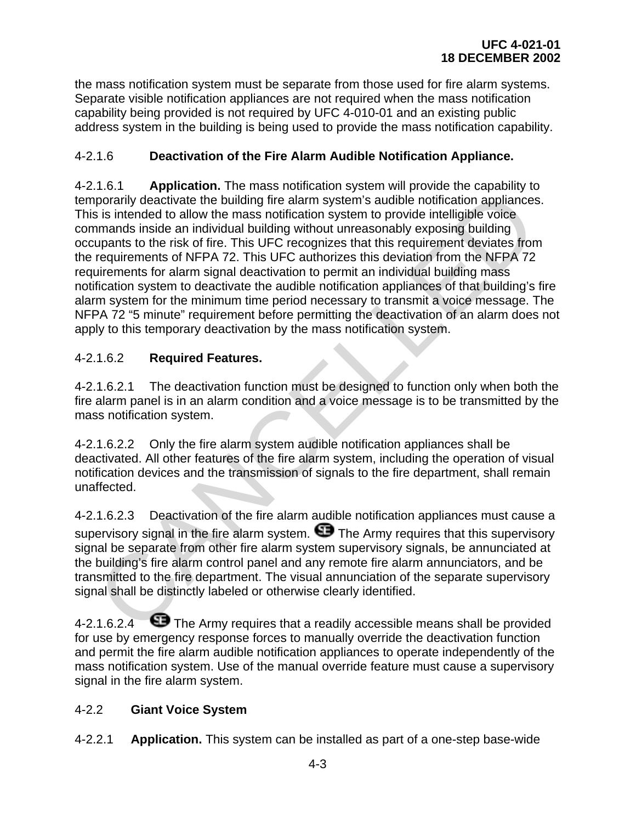the mass notification system must be separate from those used for fire alarm systems. Separate visible notification appliances are not required when the mass notification capability being provided is not required by UFC 4-010-01 and an existing public address system in the building is being used to provide the mass notification capability.

# 4-2.1.6 **Deactivation of the Fire Alarm Audible Notification Appliance.**

4-2.1.6.1 **Application.** The mass notification system will provide the capability to temporarily deactivate the building fire alarm system's audible notification appliances. This is intended to allow the mass notification system to provide intelligible voice commands inside an individual building without unreasonably exposing building occupants to the risk of fire. This UFC recognizes that this requirement deviates from the requirements of NFPA 72. This UFC authorizes this deviation from the NFPA 72 requirements for alarm signal deactivation to permit an individual building mass notification system to deactivate the audible notification appliances of that building's fire alarm system for the minimum time period necessary to transmit a voice message. The NFPA 72 "5 minute" requirement before permitting the deactivation of an alarm does not apply to this temporary deactivation by the mass notification system. From the minimum time and the minimum substration appliance in the positive of the building lifte alarm system s audible notification appliances<br>in interded to allow the mass notification system is produced intelligible vo

# 4-2.1.6.2 **Required Features.**

4-2.1.6.2.1 The deactivation function must be designed to function only when both the fire alarm panel is in an alarm condition and a voice message is to be transmitted by the mass notification system.

4-2.1.6.2.2 Only the fire alarm system audible notification appliances shall be deactivated. All other features of the fire alarm system, including the operation of visual notification devices and the transmission of signals to the fire department, shall remain unaffected.

4-2.1.6.2.3 Deactivation of the fire alarm audible notification appliances must cause a supervisory signal in the fire alarm system.  $\blacksquare$  The Army requires that this supervisory signal be separate from other fire alarm system supervisory signals, be annunciated at the building's fire alarm control panel and any remote fire alarm annunciators, and be transmitted to the fire department. The visual annunciation of the separate supervisory signal shall be distinctly labeled or otherwise clearly identified.

4-2.1.6.2.4  $\bullet$  The Army requires that a readily accessible means shall be provided for use by emergency response forces to manually override the deactivation function and permit the fire alarm audible notification appliances to operate independently of the mass notification system. Use of the manual override feature must cause a supervisory signal in the fire alarm system.

# 4-2.2 **Giant Voice System**

4-2.2.1 **Application.** This system can be installed as part of a one-step base-wide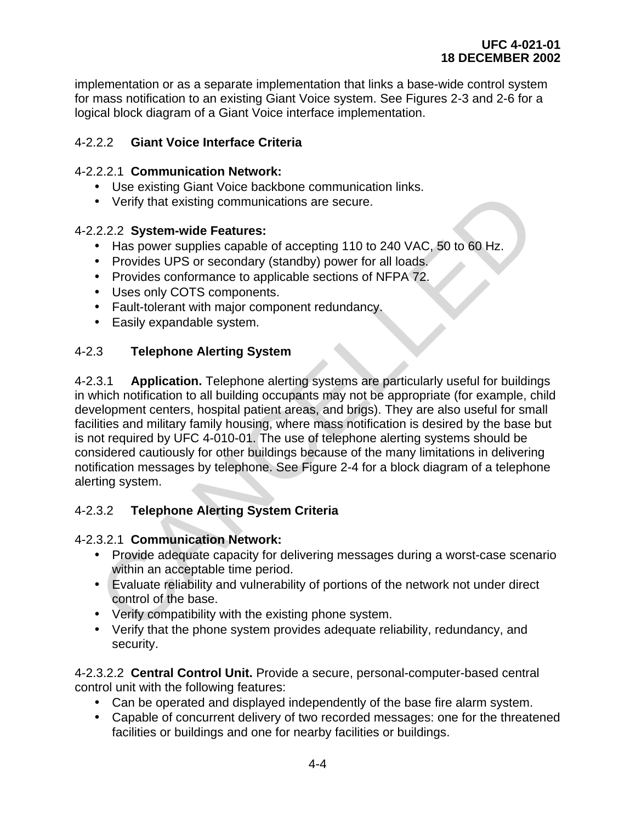implementation or as a separate implementation that links a base-wide control system for mass notification to an existing Giant Voice system. See Figures 2-3 and 2-6 for a logical block diagram of a Giant Voice interface implementation.

# 4-2.2.2 **Giant Voice Interface Criteria**

## 4-2.2.2.1 **Communication Network:**

- Use existing Giant Voice backbone communication links.
- Verify that existing communications are secure.

## 4-2.2.2.2 **System-wide Features:**

- Has power supplies capable of accepting 110 to 240 VAC, 50 to 60 Hz.
- Provides UPS or secondary (standby) power for all loads.
- Provides conformance to applicable sections of NFPA 72.
- Uses only COTS components.
- Fault-tolerant with major component redundancy.
- Easily expandable system.

# 4-2.3 **Telephone Alerting System**

4-2.3.1 **Application.** Telephone alerting systems are particularly useful for buildings in which notification to all building occupants may not be appropriate (for example, child development centers, hospital patient areas, and brigs). They are also useful for small facilities and military family housing, where mass notification is desired by the base but is not required by UFC 4-010-01. The use of telephone alerting systems should be considered cautiously for other buildings because of the many limitations in delivering notification messages by telephone. See Figure 2-4 for a block diagram of a telephone alerting system. • Go collain velocity and point of the base,<br>
• Verify that existing communications are secure.<br>
• Has power supplies capable of accepting 110 to 240 VAC, 50 to 60 Hz.<br>
• Provides UPS or secondary (standby) power for all l

# 4-2.3.2 **Telephone Alerting System Criteria**

#### 4-2.3.2.1 **Communication Network:**

- Provide adequate capacity for delivering messages during a worst-case scenario within an acceptable time period.
- Evaluate reliability and vulnerability of portions of the network not under direct control of the base.
- Verify compatibility with the existing phone system.
- Verify that the phone system provides adequate reliability, redundancy, and security.

4-2.3.2.2 **Central Control Unit.** Provide a secure, personal-computer-based central control unit with the following features:

- Can be operated and displayed independently of the base fire alarm system.
- Capable of concurrent delivery of two recorded messages: one for the threatened facilities or buildings and one for nearby facilities or buildings.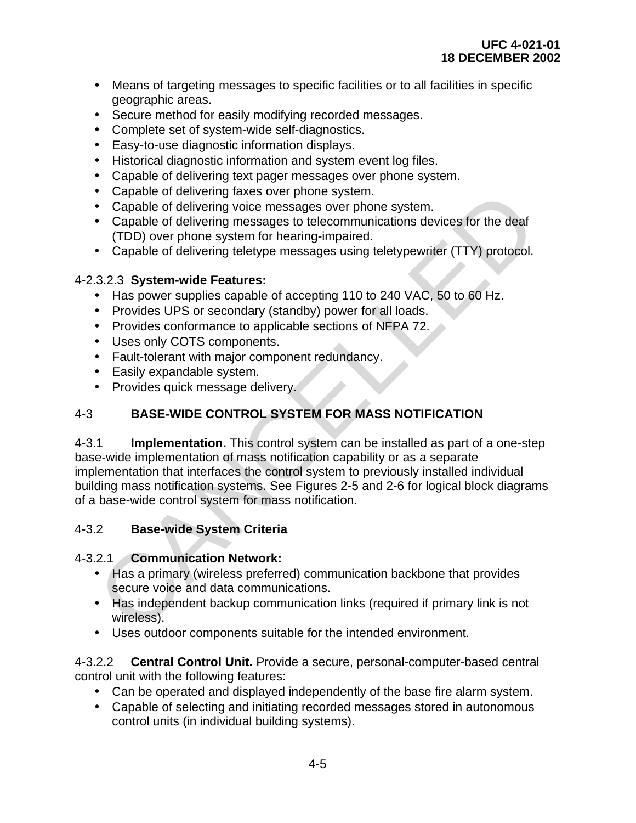- Means of targeting messages to specific facilities or to all facilities in specific geographic areas.
- Secure method for easily modifying recorded messages.
- Complete set of system-wide self-diagnostics.
- Easy-to-use diagnostic information displays.
- Historical diagnostic information and system event log files.
- Capable of delivering text pager messages over phone system.
- Capable of delivering faxes over phone system.
- Capable of delivering voice messages over phone system.
- Capable of delivering messages to telecommunications devices for the deaf (TDD) over phone system for hearing-impaired.
- Capable of delivering teletype messages using teletypewriter (TTY) protocol.

# 4-2.3.2.3 **System-wide Features:**

- Has power supplies capable of accepting 110 to 240 VAC, 50 to 60 Hz.
- Provides UPS or secondary (standby) power for all loads.
- Provides conformance to applicable sections of NFPA 72.
- Uses only COTS components.
- Fault-tolerant with major component redundancy.
- Easily expandable system.
- Provides quick message delivery.

# 4-3 **BASE-WIDE CONTROL SYSTEM FOR MASS NOTIFICATION**

4-3.1 **Implementation.** This control system can be installed as part of a one-step base-wide implementation of mass notification capability or as a separate implementation that interfaces the control system to previously installed individual building mass notification systems. See Figures 2-5 and 2-6 for logical block diagrams of a base-wide control system for mass notification. • Capable of delivering raxes over phone system.<br>
• Capable of delivering vaice messages over phone system.<br>
• Capable of delivering messages to telecommunications devices for the deaf<br>
• Capable of delivering messages to

# 4-3.2 **Base-wide System Criteria**

# 4-3.2.1 **Communication Network:**

- Has a primary (wireless preferred) communication backbone that provides secure voice and data communications.
- Has independent backup communication links (required if primary link is not wireless).
- Uses outdoor components suitable for the intended environment.

#### 4-3.2.2 **Central Control Unit.** Provide a secure, personal-computer-based central control unit with the following features:

- Can be operated and displayed independently of the base fire alarm system.
- Capable of selecting and initiating recorded messages stored in autonomous control units (in individual building systems).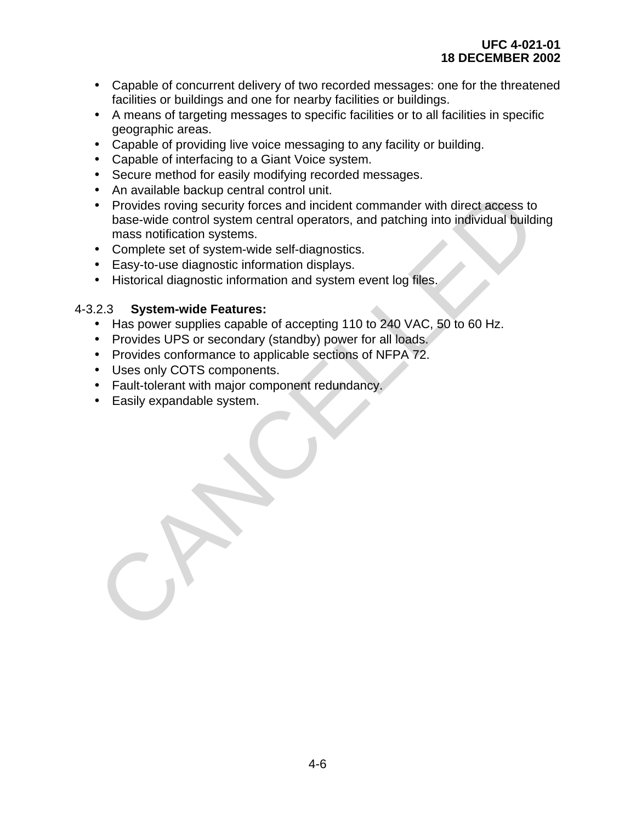- Capable of concurrent delivery of two recorded messages: one for the threatened facilities or buildings and one for nearby facilities or buildings.
- A means of targeting messages to specific facilities or to all facilities in specific geographic areas.
- Capable of providing live voice messaging to any facility or building.
- Capable of interfacing to a Giant Voice system.
- Secure method for easily modifying recorded messages.
- An available backup central control unit.
- Provides roving security forces and incident commander with direct access to base-wide control system central operators, and patching into individual building mass notification systems. • An available backup central control unit.<br>
• Provides roving security forces and incident commander with direct access to<br>
base-wide control systems.<br>
Complete set of system-wide self-diagnostics.<br>
• Easy-to-use diagnost
- Complete set of system-wide self-diagnostics.
- Easy-to-use diagnostic information displays.
- Historical diagnostic information and system event log files.

#### 4-3.2.3 **System-wide Features:**

- Has power supplies capable of accepting 110 to 240 VAC, 50 to 60 Hz.
- Provides UPS or secondary (standby) power for all loads.
- Provides conformance to applicable sections of NFPA 72.
- Uses only COTS components.
- Fault-tolerant with major component redundancy.
- Easily expandable system.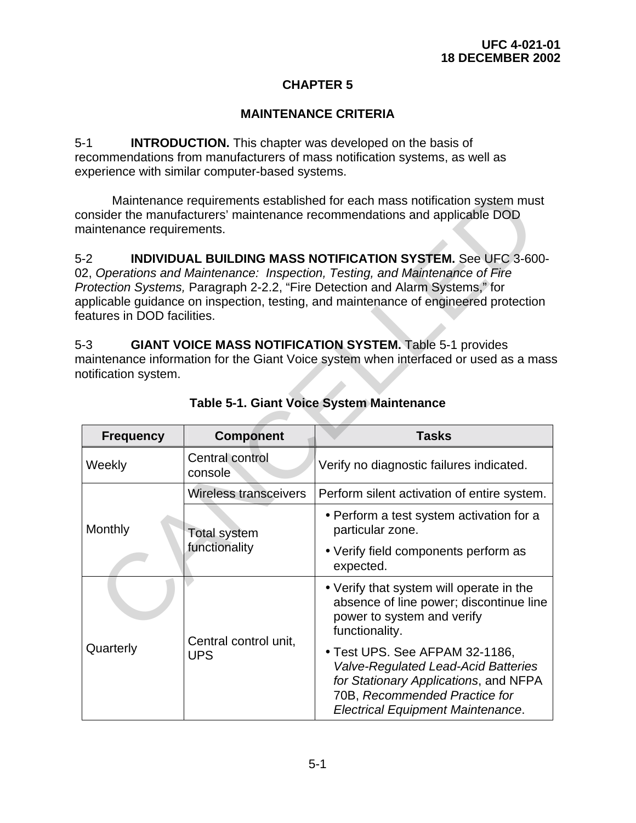# **CHAPTER 5**

# **MAINTENANCE CRITERIA**

5-1 **INTRODUCTION.** This chapter was developed on the basis of recommendations from manufacturers of mass notification systems, as well as experience with similar computer-based systems.

| Maintenance requirements established for each mass notification system must<br>onsider the manufacturers' maintenance recommendations and applicable DOD<br>naintenance requirements.                                                                                                                                                                                                                                                                                                                                                                                                                  |                                     |                                                                                                                                                                                                    |  |  |
|--------------------------------------------------------------------------------------------------------------------------------------------------------------------------------------------------------------------------------------------------------------------------------------------------------------------------------------------------------------------------------------------------------------------------------------------------------------------------------------------------------------------------------------------------------------------------------------------------------|-------------------------------------|----------------------------------------------------------------------------------------------------------------------------------------------------------------------------------------------------|--|--|
| $-2$<br><b>INDIVIDUAL BUILDING MASS NOTIFICATION SYSTEM.</b> See UFC 3-600-<br>2, Operations and Maintenance: Inspection, Testing, and Maintenance of Fire<br>Protection Systems, Paragraph 2-2.2, "Fire Detection and Alarm Systems," for<br>pplicable guidance on inspection, testing, and maintenance of engineered protection<br>eatures in DOD facilities.<br>$-3$<br><b>GIANT VOICE MASS NOTIFICATION SYSTEM. Table 5-1 provides</b><br>naintenance information for the Giant Voice system when interfaced or used as a mass<br>otification system.<br>Table 5-1. Giant Voice System Maintenance |                                     |                                                                                                                                                                                                    |  |  |
| <b>Frequency</b>                                                                                                                                                                                                                                                                                                                                                                                                                                                                                                                                                                                       | <b>Tasks</b><br><b>Component</b>    |                                                                                                                                                                                                    |  |  |
| Weekly                                                                                                                                                                                                                                                                                                                                                                                                                                                                                                                                                                                                 | Central control<br>console          | Verify no diagnostic failures indicated.                                                                                                                                                           |  |  |
|                                                                                                                                                                                                                                                                                                                                                                                                                                                                                                                                                                                                        | <b>Wireless transceivers</b>        | Perform silent activation of entire system.                                                                                                                                                        |  |  |
| Monthly                                                                                                                                                                                                                                                                                                                                                                                                                                                                                                                                                                                                | <b>Total system</b>                 | • Perform a test system activation for a<br>particular zone.                                                                                                                                       |  |  |
|                                                                                                                                                                                                                                                                                                                                                                                                                                                                                                                                                                                                        | functionality                       | • Verify field components perform as<br>expected.                                                                                                                                                  |  |  |
|                                                                                                                                                                                                                                                                                                                                                                                                                                                                                                                                                                                                        |                                     | • Verify that system will operate in the<br>absence of line power; discontinue line<br>power to system and verify<br>functionality.                                                                |  |  |
| Quarterly                                                                                                                                                                                                                                                                                                                                                                                                                                                                                                                                                                                              | Central control unit,<br><b>UPS</b> | · Test UPS. See AFPAM 32-1186,<br><b>Valve-Regulated Lead-Acid Batteries</b><br>for Stationary Applications, and NFPA<br>70B, Recommended Practice for<br><b>Electrical Equipment Maintenance.</b> |  |  |

# **Table 5-1. Giant Voice System Maintenance**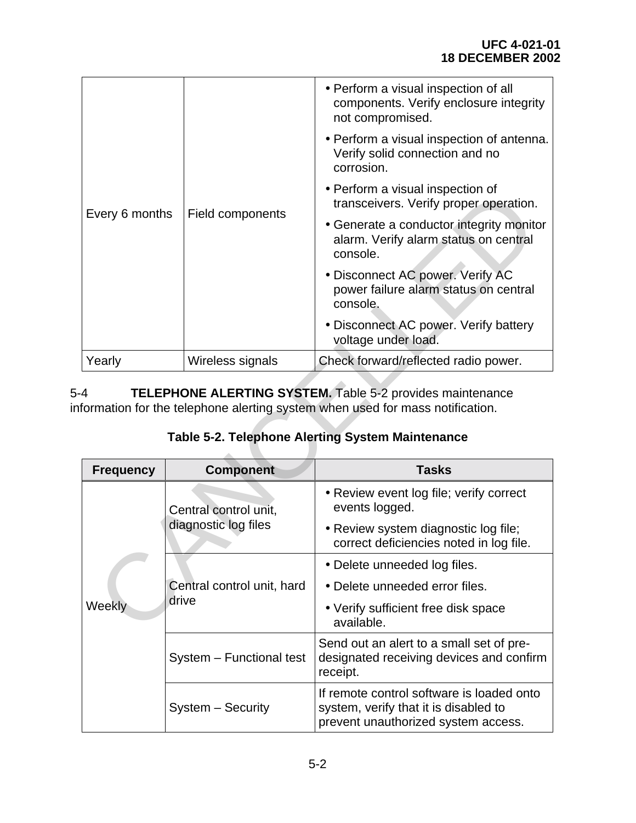|                                                                                                                                                       |                                               | • Perform a visual inspection of all<br>components. Verify enclosure integrity<br>not compromised. |  |
|-------------------------------------------------------------------------------------------------------------------------------------------------------|-----------------------------------------------|----------------------------------------------------------------------------------------------------|--|
|                                                                                                                                                       |                                               | • Perform a visual inspection of antenna.<br>Verify solid connection and no<br>corrosion.          |  |
|                                                                                                                                                       |                                               | • Perform a visual inspection of<br>transceivers. Verify proper operation.                         |  |
| Every 6 months                                                                                                                                        | Field components                              | • Generate a conductor integrity monitor<br>alarm. Verify alarm status on central<br>console.      |  |
|                                                                                                                                                       |                                               | · Disconnect AC power. Verify AC<br>power failure alarm status on central<br>console.              |  |
|                                                                                                                                                       |                                               | • Disconnect AC power. Verify battery<br>voltage under load.                                       |  |
| Yearly                                                                                                                                                | Wireless signals                              | Check forward/reflected radio power.                                                               |  |
| <b>TELEPHONE ALERTING SYSTEM.</b> Table 5-2 provides maintenance<br>4<br>formation for the telephone alerting system when used for mass notification. |                                               |                                                                                                    |  |
|                                                                                                                                                       |                                               | <b>Table 5-2. Telephone Alerting System Maintenance</b>                                            |  |
| <b>Frequency</b>                                                                                                                                      | <b>Component</b>                              | <b>Tasks</b>                                                                                       |  |
| Weekly                                                                                                                                                | Central control unit,<br>diagnostic log files | • Review event log file; verify correct<br>events logged.                                          |  |
|                                                                                                                                                       |                                               | • Review system diagnostic log file;<br>correct deficiencies noted in log file.                    |  |
|                                                                                                                                                       | Central control unit, hard<br>drive           | • Delete unneeded log files.                                                                       |  |
|                                                                                                                                                       |                                               | • Delete unneeded error files.                                                                     |  |
|                                                                                                                                                       |                                               | • Verify sufficient free disk space                                                                |  |

| <b>Frequency</b> | <b>Component</b>                              | <b>Tasks</b>                                                                                                              |
|------------------|-----------------------------------------------|---------------------------------------------------------------------------------------------------------------------------|
| Weekly           | Central control unit,<br>diagnostic log files | • Review event log file; verify correct<br>events logged.                                                                 |
|                  |                                               | • Review system diagnostic log file;<br>correct deficiencies noted in log file.                                           |
|                  | Central control unit, hard<br>drive           | • Delete unneeded log files.                                                                                              |
|                  |                                               | • Delete unneeded error files.                                                                                            |
|                  |                                               | • Verify sufficient free disk space<br>available.                                                                         |
|                  | System - Functional test                      | Send out an alert to a small set of pre-<br>designated receiving devices and confirm<br>receipt.                          |
|                  | System - Security                             | If remote control software is loaded onto<br>system, verify that it is disabled to<br>prevent unauthorized system access. |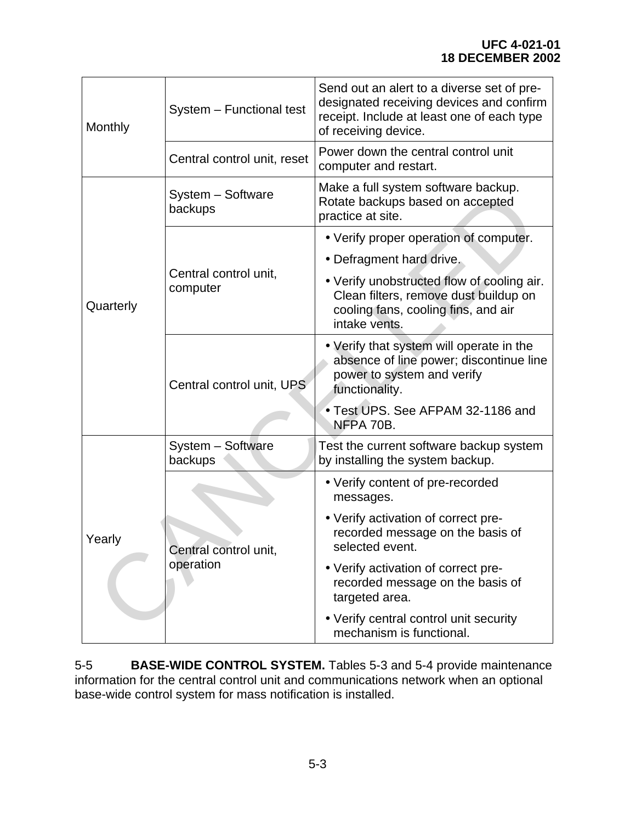| Monthly   | System - Functional test           | Send out an alert to a diverse set of pre-<br>designated receiving devices and confirm<br>receipt. Include at least one of each type<br>of receiving device. |  |
|-----------|------------------------------------|--------------------------------------------------------------------------------------------------------------------------------------------------------------|--|
|           | Central control unit, reset        | Power down the central control unit<br>computer and restart.                                                                                                 |  |
| Quarterly | System - Software<br>backups       | Make a full system software backup.<br>Rotate backups based on accepted<br>practice at site.                                                                 |  |
|           | Central control unit,<br>computer  | • Verify proper operation of computer.                                                                                                                       |  |
|           |                                    | • Defragment hard drive.                                                                                                                                     |  |
|           |                                    | • Verify unobstructed flow of cooling air.<br>Clean filters, remove dust buildup on<br>cooling fans, cooling fins, and air<br>intake vents.                  |  |
|           | Central control unit, UPS          | • Verify that system will operate in the<br>absence of line power; discontinue line<br>power to system and verify<br>functionality.                          |  |
|           |                                    | • Test UPS. See AFPAM 32-1186 and<br>NFPA 70B.                                                                                                               |  |
| Yearly    | System - Software<br>backups       | Test the current software backup system<br>by installing the system backup.                                                                                  |  |
|           | Central control unit,<br>operation | • Verify content of pre-recorded<br>messages.                                                                                                                |  |
|           |                                    | • Verify activation of correct pre-<br>recorded message on the basis of<br>selected event.                                                                   |  |
|           |                                    | • Verify activation of correct pre-<br>recorded message on the basis of<br>targeted area.                                                                    |  |
|           |                                    | • Verify central control unit security<br>mechanism is functional.                                                                                           |  |

5-5 **BASE-WIDE CONTROL SYSTEM.** Tables 5-3 and 5-4 provide maintenance information for the central control unit and communications network when an optional base-wide control system for mass notification is installed.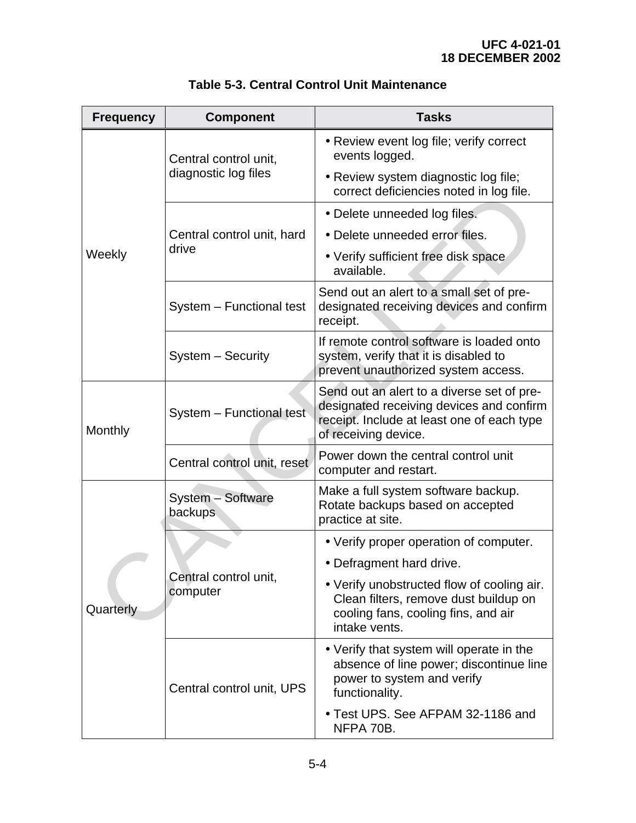| <b>Frequency</b> | <b>Component</b>                              | <b>Tasks</b>                                                                                                                                                 |
|------------------|-----------------------------------------------|--------------------------------------------------------------------------------------------------------------------------------------------------------------|
| Weekly           | Central control unit,<br>diagnostic log files | • Review event log file; verify correct<br>events logged.                                                                                                    |
|                  |                                               | • Review system diagnostic log file;<br>correct deficiencies noted in log file.                                                                              |
|                  |                                               | • Delete unneeded log files.                                                                                                                                 |
|                  | Central control unit, hard<br>drive           | • Delete unneeded error files.                                                                                                                               |
|                  |                                               | • Verify sufficient free disk space<br>available.                                                                                                            |
|                  | System - Functional test                      | Send out an alert to a small set of pre-<br>designated receiving devices and confirm<br>receipt.                                                             |
|                  | System - Security                             | If remote control software is loaded onto<br>system, verify that it is disabled to<br>prevent unauthorized system access.                                    |
| Monthly          | System - Functional test                      | Send out an alert to a diverse set of pre-<br>designated receiving devices and confirm<br>receipt. Include at least one of each type<br>of receiving device. |
|                  | Central control unit, reset                   | Power down the central control unit<br>computer and restart.                                                                                                 |
|                  | System - Software<br><b>backups</b>           | Make a full system software backup.<br>Rotate backups based on accepted<br>practice at site.                                                                 |
|                  | Central control unit,<br>computer             | • Verify proper operation of computer.                                                                                                                       |
|                  |                                               | • Defragment hard drive.                                                                                                                                     |
| Quarterly        |                                               | • Verify unobstructed flow of cooling air.<br>Clean filters, remove dust buildup on<br>cooling fans, cooling fins, and air<br>intake vents.                  |
|                  | Central control unit, UPS                     | • Verify that system will operate in the<br>absence of line power; discontinue line<br>power to system and verify<br>functionality.                          |
|                  |                                               | • Test UPS. See AFPAM 32-1186 and<br>NFPA 70B.                                                                                                               |

|  | Table 5-3. Central Control Unit Maintenance |  |  |
|--|---------------------------------------------|--|--|
|--|---------------------------------------------|--|--|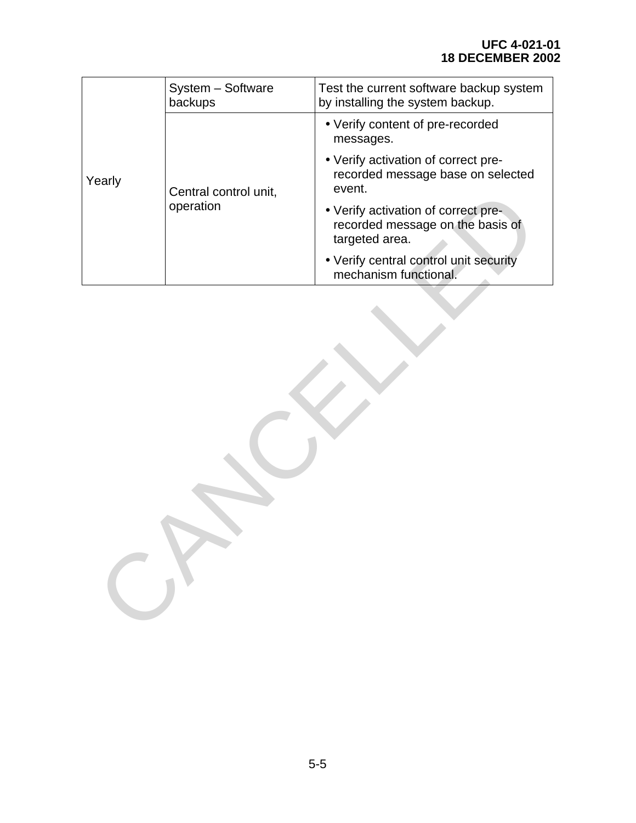|        | System - Software<br>backups       | Test the current software backup system<br>by installing the system backup.               |  |
|--------|------------------------------------|-------------------------------------------------------------------------------------------|--|
| Yearly | Central control unit,<br>operation | • Verify content of pre-recorded<br>messages.                                             |  |
|        |                                    | • Verify activation of correct pre-<br>recorded message base on selected<br>event.        |  |
|        |                                    | • Verify activation of correct pre-<br>recorded message on the basis of<br>targeted area. |  |
|        |                                    | • Verify central control unit security<br>mechanism functional.                           |  |
|        |                                    |                                                                                           |  |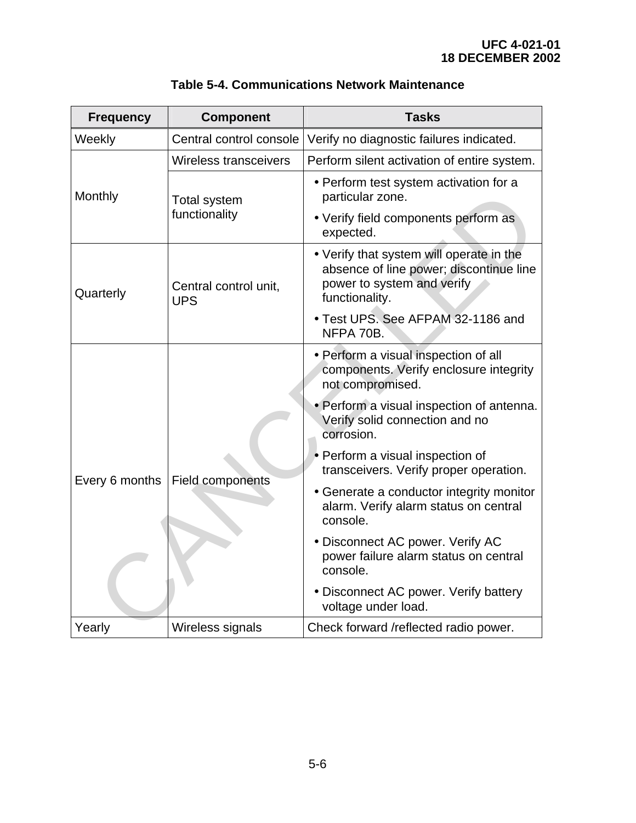| <b>Frequency</b> | <b>Component</b>                     | <b>Tasks</b>                                                                                                                        |
|------------------|--------------------------------------|-------------------------------------------------------------------------------------------------------------------------------------|
| Weekly           | Central control console              | Verify no diagnostic failures indicated.                                                                                            |
| Monthly          | <b>Wireless transceivers</b>         | Perform silent activation of entire system.                                                                                         |
|                  | <b>Total system</b><br>functionality | • Perform test system activation for a<br>particular zone.                                                                          |
|                  |                                      | • Verify field components perform as<br>expected.                                                                                   |
| Quarterly        | Central control unit,<br><b>UPS</b>  | • Verify that system will operate in the<br>absence of line power; discontinue line<br>power to system and verify<br>functionality. |
|                  |                                      | • Test UPS. See AFPAM 32-1186 and<br>NFPA 70B.                                                                                      |
| Every 6 months   | Field components                     | • Perform a visual inspection of all<br>components. Verify enclosure integrity<br>not compromised.                                  |
|                  |                                      | • Perform a visual inspection of antenna.<br>Verify solid connection and no<br>corrosion.                                           |
|                  |                                      | • Perform a visual inspection of<br>transceivers. Verify proper operation.                                                          |
|                  |                                      | • Generate a conductor integrity monitor<br>alarm. Verify alarm status on central<br>console.                                       |
|                  |                                      | • Disconnect AC power. Verify AC<br>power failure alarm status on central<br>console.                                               |
|                  |                                      | • Disconnect AC power. Verify battery<br>voltage under load.                                                                        |
| Yearly           | Wireless signals                     | Check forward /reflected radio power.                                                                                               |

# **Table 5-4. Communications Network Maintenance**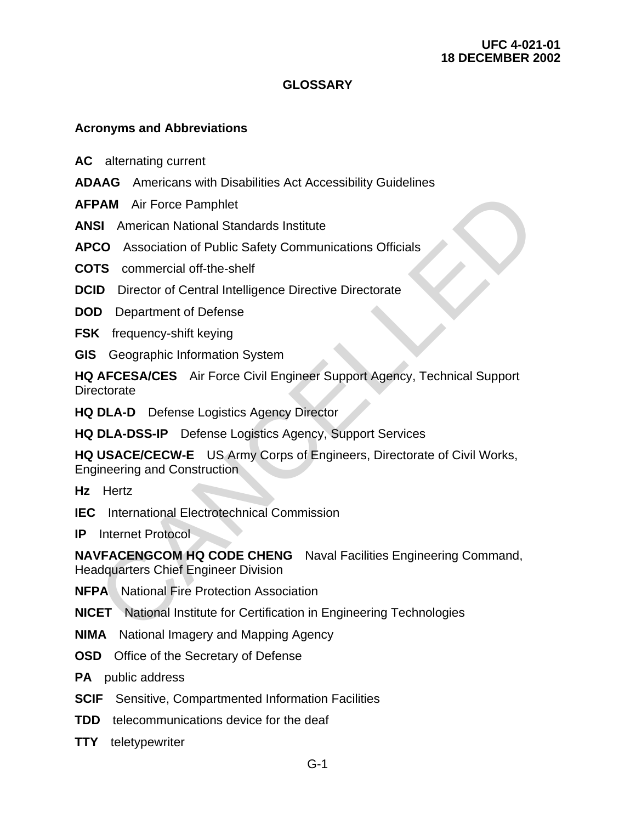#### **UFC 4-021-01 18 DECEMBER 2002**

# **GLOSSARY**

#### **Acronyms and Abbreviations**

AC—alternating current

- **ADAAG**Americans with Disabilities Act Accessibility Guidelines
- **AFPAM**—Air Force Pamphlet
- **ANSI**American National Standards Institute
- **APCO**Association of Public Safety Communications Officials
- **COTS** commercial off-the-shelf
- **DCID**-Director of Central Intelligence Directive Directorate
- **DOD**—Department of Defense
- **FSK**—frequency-shift keying
- **GIS**-Geographic Information System

**HQ AFCESA/CES**Air Force Civil Engineer Support Agency, Technical Support **Directorate PAM—Air Force Pamphlet**<br> **SI**—American National Standards Institute<br> **CO**—Association of Public Safety Communications Officials<br> **TS**—commercial off-the-shelf<br> **ID**—Director of Central Intelligence Directive Directorate<br>

**HQ DLA-D**—Defense Logistics Agency Director

**HQ DLA-DSS-IP**—Defense Logistics Agency, Support Services

**HQ USACE/CECW-E**—US Army Corps of Engineers, Directorate of Civil Works, Engineering and Construction

Hz-Hertz

**IEC**—International Electrotechnical Commission

**IP**-Internet Protocol

**NAVFACENGCOM HQ CODE CHENG-**Naval Facilities Engineering Command, Headquarters Chief Engineer Division

- **NFPA**—National Fire Protection Association
- **NICET**—National Institute for Certification in Engineering Technologies
- **NIMA—National Imagery and Mapping Agency**
- **OSD**—Office of the Secretary of Defense

**PA**—public address

- **SCIF**—Sensitive, Compartmented Information Facilities
- **TDD**—telecommunications device for the deaf
- **TTY**—teletypewriter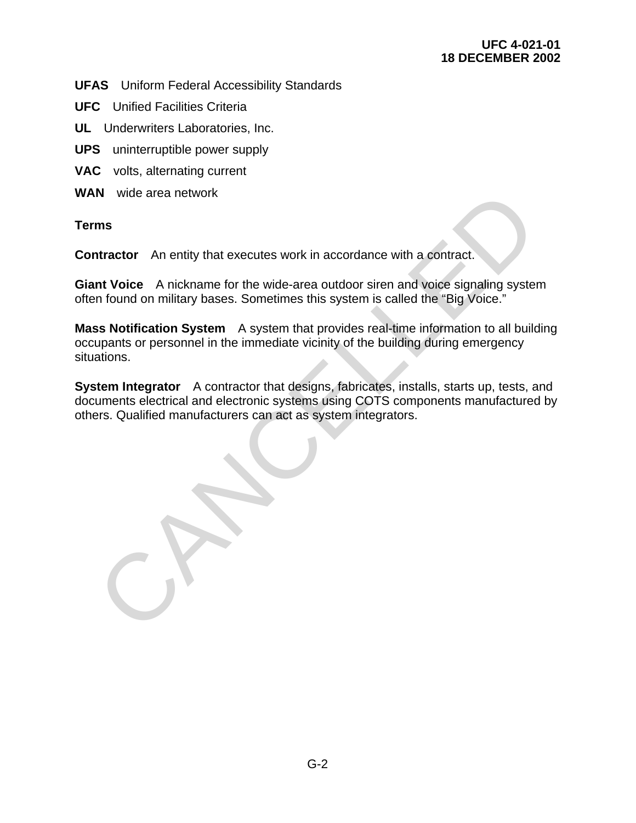**UFAS**—Uniform Federal Accessibility Standards

- **UFC**—Unified Facilities Criteria
- **UL**—Underwriters Laboratories, Inc.
- **UPS**—uninterruptible power supply
- VAC-volts, alternating current
- **WAN**wide area network

**Terms**

**Contractor**—An entity that executes work in accordance with a contract.

**Giant Voice** A nickname for the wide-area outdoor siren and voice signaling system often found on military bases. Sometimes this system is called the "Big Voice."

**Mass Notification System**—A system that provides real-time information to all building occupants or personnel in the immediate vicinity of the building during emergency situations. M—wide area network<br>
ms<br>
Intractor—An entity that executes work in accordance with a contract.<br>
Introdec—A nickname for the wide-area outdoor siren and voice signaling system<br>
in found on military bases. Sometimes this sys

**System Integrator**—A contractor that designs, fabricates, installs, starts up, tests, and documents electrical and electronic systems using COTS components manufactured by others. Qualified manufacturers can act as system integrators.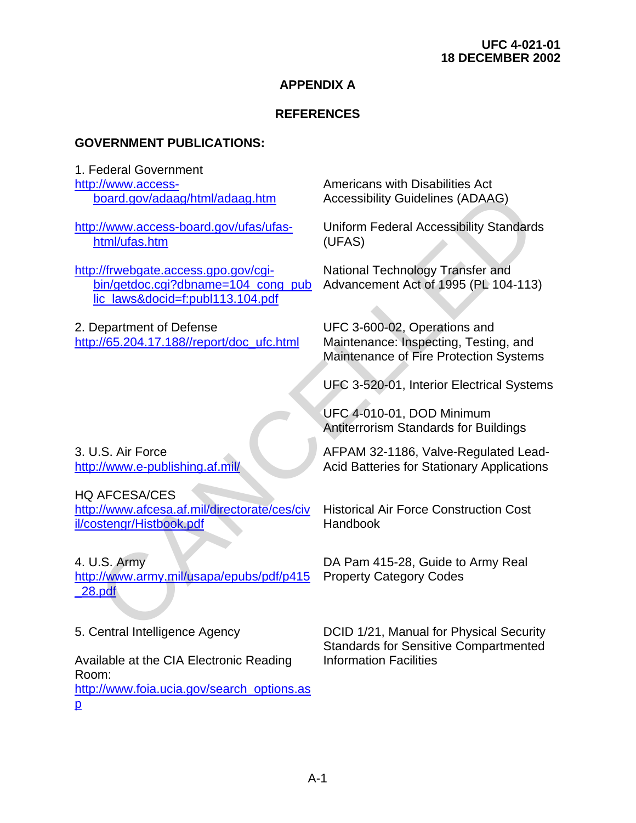## **APPENDIX A**

# **REFERENCES**

#### **GOVERNMENT PUBLICATIONS:**

1. Federal Government [http://www.access](http://www.access-board.gov/adaag/html/adaag.htm)board.gov/adaag/html/adaag.htm

http://www.access-board.gov/ufas/ufashtml/ufas.htm

http://frwebgate.access.gpo.gov/cgibin/getdoc.cgi?dbname=104\_cong\_pub lic\_laws&docid=f:publ113.104.pdf

2. Department of Defense http://65.204.17.188//report/doc\_ufc.html

3. U.S. Air Force http://www.e-publishing.af.mil/

#### HQ AFCESA/CES

http://www.afcesa.af.mil/directorate/ces/civ il/costengr/Histbook.pdf

4. U.S. Army http://www.army.mil/usapa/epubs/pdf/p415 [\\_28.pdf](http://www.army.mil/usapa/epubs/pdf/p415_28.pdf)  [C](http://www.army.mil/usapa/epubs/pdf/p415_28.pdf)[AN](http://www.afcesa.af.mil/directorate/ces/civil/costengr/Histbook.pdf)[C](http://www.e-publishing.af.mil/)ELLED

5. Central Intelligence Agency

Available at the CIA Electronic Reading Room:

[http://www.foia.ucia.gov/search\\_options.as](http://www.foia.ucia.gov/search_options.asp) [p](http://www.foia.ucia.gov/search_options.asp) 

Americans with Disabilities Act Accessibility Guidelines (ADAAG)

Uniform Federal Accessibility Standards (UFAS)

National Technology Transfer and Advancement Act of 1995 (PL 104-113)

UFC 3-600-02, Operations and Maintenance: Inspecting, Testing, and Maintenance of Fire Protection Systems

UFC 3-520-01, Interior Electrical Systems

UFC 4-010-01, DOD Minimum Antiterrorism Standards for Buildings

AFPAM 32-1186, Valve-Regulated Lead-Acid Batteries for Stationary Applications

Historical Air Force Construction Cost **Handbook** 

DA Pam 415-28, Guide to Army Real Property Category Codes

DCID 1/21, Manual for Physical Security Standards for Sensitive Compartmented Information Facilities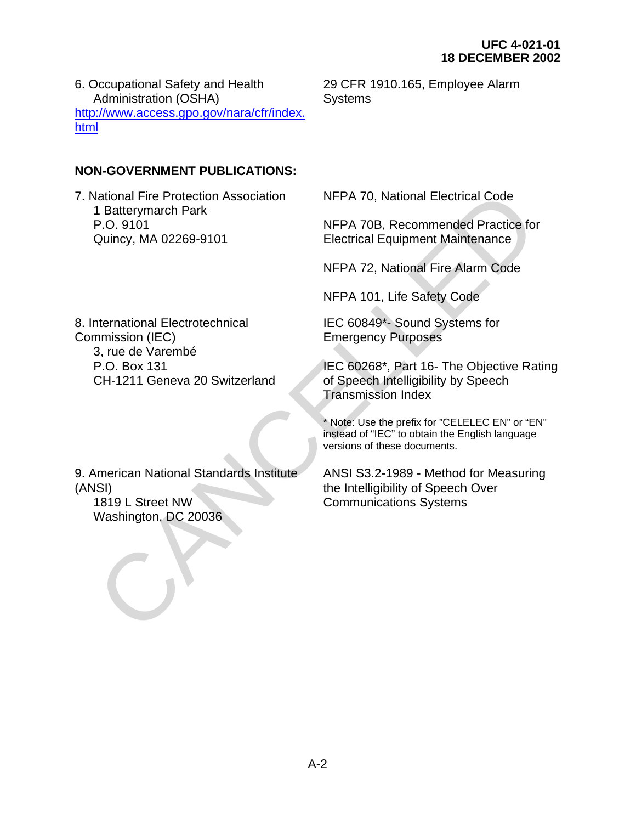6. Occupational Safety and Health Administration (OSHA) [http://www.access.gpo.gov/nara/cfr/index.](http://www.access.gpo.gov/nara/cfr/index.html) [html](http://www.access.gpo.gov/nara/cfr/index.html) 

## **NON-GOVERNMENT PUBLICATIONS:**

7. National Fire Protection Association 1 Batterymarch Park P.O. 9101 Quincy, MA 02269-9101 Varional Fire Protection Association<br>
1 Batterymarch Park<br>
P.O. 9101<br>
2 CANCELLED AND THE ATOM NEPA 70B, Recommended Practice for<br>
P.O. 9101<br>
2 CANCELLED Fire Altarm Code<br>
NFPA 101, Life Safety Code<br>
NFPA 101, Life Safety

29 CFR 1910.165, Employee Alarm **Systems** 

NFPA 70, National Electrical Code

NFPA 70B, Recommended Practice for Electrical Equipment Maintenance

NFPA 72, National Fire Alarm Code

NFPA 101, Life Safety Code

IEC 60849\*- Sound Systems for Emergency Purposes

IEC 60268\*, Part 16- The Objective Rating of Speech Intelligibility by Speech Transmission Index

\* Note: Use the prefix for "CELELEC EN" or "EN" instead of "IEC" to obtain the English language versions of these documents.

ANSI S3.2-1989 - Method for Measuring the Intelligibility of Speech Over Communications Systems

8. International Electrotechnical Commission (IEC) 3, rue de Varembé P.O. Box 131 CH-1211 Geneva 20 Switzerland

9. American National Standards Institute (ANSI) 1819 L Street NW

Washington, DC 20036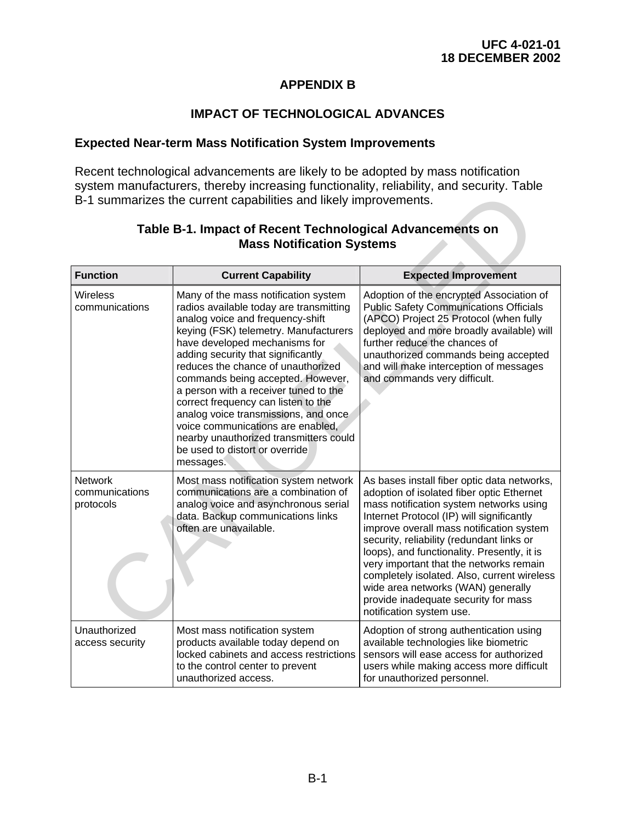## **APPENDIX B**

## **IMPACT OF TECHNOLOGICAL ADVANCES**

#### **Expected Near-term Mass Notification System Improvements**

Recent technological advancements are likely to be adopted by mass notification system manufacturers, thereby increasing functionality, reliability, and security. Table B-1 summarizes the current capabilities and likely improvements.

| oyotom manaraotaroro, thoroby moroaoing ranotionality, rollability, and ocoanty. Table<br>B-1 summarizes the current capabilities and likely improvements. |                                                                                                                                                                                                                                                                                                                                                                                                                                                                                                                                                                      |                                                                                                                                                                                                                                                                                                                                                                                                                                                                                                                              |  |
|------------------------------------------------------------------------------------------------------------------------------------------------------------|----------------------------------------------------------------------------------------------------------------------------------------------------------------------------------------------------------------------------------------------------------------------------------------------------------------------------------------------------------------------------------------------------------------------------------------------------------------------------------------------------------------------------------------------------------------------|------------------------------------------------------------------------------------------------------------------------------------------------------------------------------------------------------------------------------------------------------------------------------------------------------------------------------------------------------------------------------------------------------------------------------------------------------------------------------------------------------------------------------|--|
| Table B-1. Impact of Recent Technological Advancements on<br><b>Mass Notification Systems</b>                                                              |                                                                                                                                                                                                                                                                                                                                                                                                                                                                                                                                                                      |                                                                                                                                                                                                                                                                                                                                                                                                                                                                                                                              |  |
| <b>Function</b>                                                                                                                                            | <b>Current Capability</b>                                                                                                                                                                                                                                                                                                                                                                                                                                                                                                                                            | <b>Expected Improvement</b>                                                                                                                                                                                                                                                                                                                                                                                                                                                                                                  |  |
| Wireless<br>communications                                                                                                                                 | Many of the mass notification system<br>radios available today are transmitting<br>analog voice and frequency-shift<br>keying (FSK) telemetry. Manufacturers<br>have developed mechanisms for<br>adding security that significantly<br>reduces the chance of unauthorized<br>commands being accepted. However,<br>a person with a receiver tuned to the<br>correct frequency can listen to the<br>analog voice transmissions, and once<br>voice communications are enabled,<br>nearby unauthorized transmitters could<br>be used to distort or override<br>messages. | Adoption of the encrypted Association of<br><b>Public Safety Communications Officials</b><br>(APCO) Project 25 Protocol (when fully<br>deployed and more broadly available) will<br>further reduce the chances of<br>unauthorized commands being accepted<br>and will make interception of messages<br>and commands very difficult.                                                                                                                                                                                          |  |
| <b>Network</b><br>communications<br>protocols                                                                                                              | Most mass notification system network<br>communications are a combination of<br>analog voice and asynchronous serial<br>data. Backup communications links<br>often are unavailable.                                                                                                                                                                                                                                                                                                                                                                                  | As bases install fiber optic data networks,<br>adoption of isolated fiber optic Ethernet<br>mass notification system networks using<br>Internet Protocol (IP) will significantly<br>improve overall mass notification system<br>security, reliability (redundant links or<br>loops), and functionality. Presently, it is<br>very important that the networks remain<br>completely isolated. Also, current wireless<br>wide area networks (WAN) generally<br>provide inadequate security for mass<br>notification system use. |  |
| Unauthorized<br>access security                                                                                                                            | Most mass notification system<br>products available today depend on<br>locked cabinets and access restrictions<br>to the control center to prevent<br>unauthorized access.                                                                                                                                                                                                                                                                                                                                                                                           | Adoption of strong authentication using<br>available technologies like biometric<br>sensors will ease access for authorized<br>users while making access more difficult<br>for unauthorized personnel.                                                                                                                                                                                                                                                                                                                       |  |

## **Table B-1. Impact of Recent Technological Advancements on Mass Notification Systems**